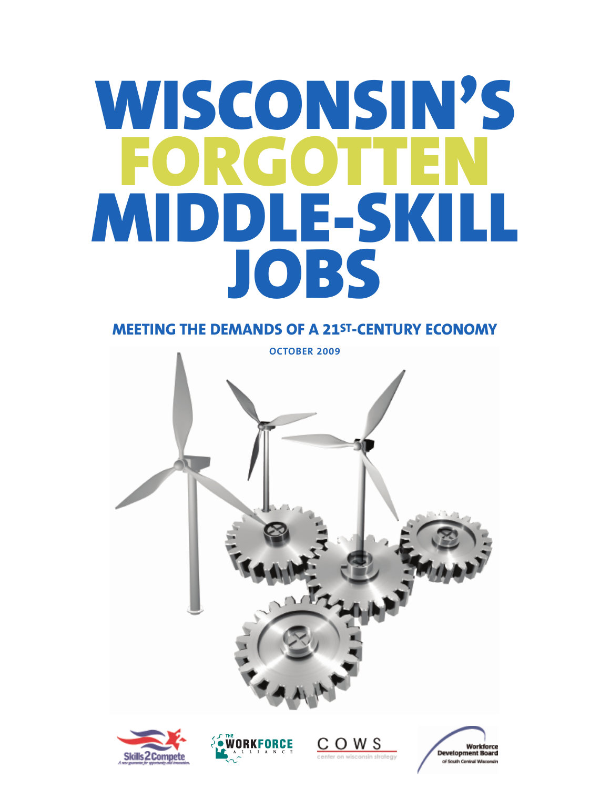# **WISCONSIN'S FORGOTTEN MIDDLE-SKILL JOBS**

# **MEETING THE DEMANDS OF A 21ST-CENTURY ECONOMY**







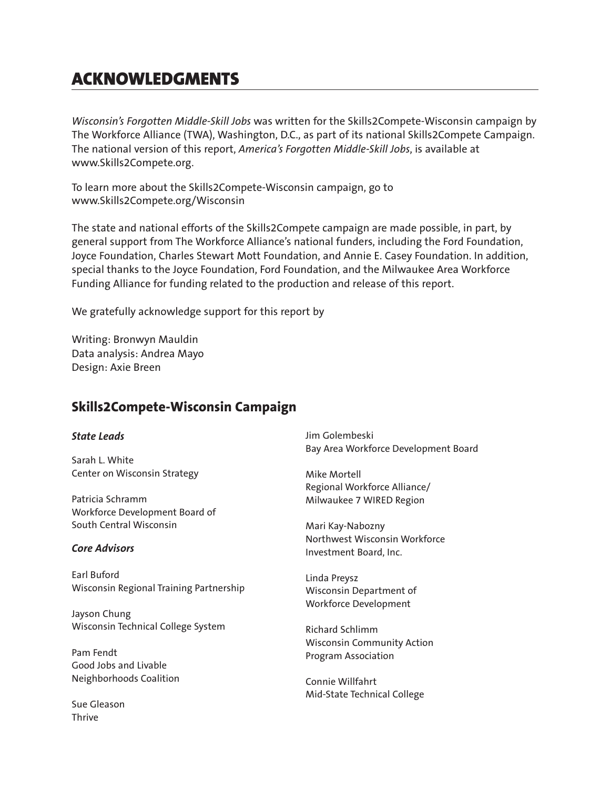# **ACKNOWLEDGMENTS**

*Wisconsin's Forgotten Middle-Skill Jobs* was written for the Skills2Compete-Wisconsin campaign by The Workforce Alliance (TWA), Washington, D.C., as part of its national Skills2Compete Campaign. The national version of this report, *America's Forgotten Middle-Skill Jobs*, is available at www.Skills2Compete.org.

To learn more about the Skills2Compete-Wisconsin campaign, go to www.Skills2Compete.org/Wisconsin

The state and national efforts of the Skills2Compete campaign are made possible, in part, by general support from The Workforce Alliance's national funders, including the Ford Foundation, Joyce Foundation, Charles Stewart Mott Foundation, and Annie E. Casey Foundation. In addition, special thanks to the Joyce Foundation, Ford Foundation, and the Milwaukee Area Workforce Funding Alliance for funding related to the production and release of this report.

We gratefully acknowledge support for this report by

Writing: Bronwyn Mauldin Data analysis: Andrea Mayo Design: Axie Breen

## **Skills2Compete-Wisconsin Campaign**

#### *State Leads*

Sarah L. White Center on Wisconsin Strategy

Patricia Schramm Workforce Development Board of South Central Wisconsin

#### *Core Advisors*

Earl Buford Wisconsin Regional Training Partnership

Jayson Chung Wisconsin Technical College System

Pam Fendt Good Jobs and Livable Neighborhoods Coalition

Sue Gleason Thrive

Jim Golembeski Bay Area Workforce Development Board

Mike Mortell Regional Workforce Alliance/ Milwaukee 7 WIRED Region

Mari Kay-Nabozny Northwest Wisconsin Workforce Investment Board, Inc.

Linda Preysz Wisconsin Department of Workforce Development

Richard Schlimm Wisconsin Community Action Program Association

Connie Willfahrt Mid-State Technical College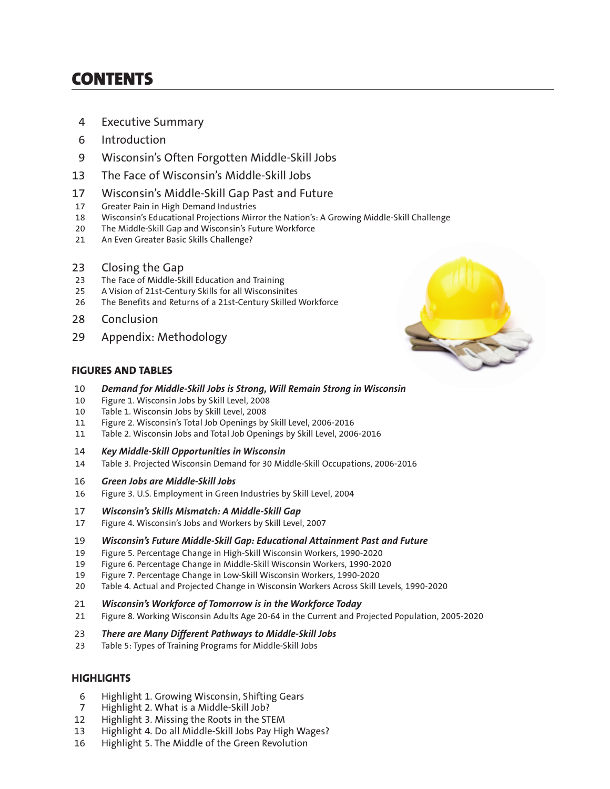# **CONTENTS**

- 4 Executive Summary
- 6 Introduction
- 9 Wisconsin's Often Forgotten Middle-Skill Jobs
- 13 The Face of Wisconsin's Middle-Skill Jobs
- 17 Wisconsin's Middle-Skill Gap Past and Future
- 17 Greater Pain in High Demand Industries
- 18 Wisconsin's Educational Projections Mirror the Nation's: A Growing Middle-Skill Challenge
- 20 The Middle-Skill Gap and Wisconsin's Future Workforce
- 21 An Even Greater Basic Skills Challenge?
- 23 Closing the Gap
- 23 The Face of Middle-Skill Education and Training
- 25 A Vision of 21st-Century Skills for all Wisconsinites
- 26 The Benefits and Returns of a 21st-Century Skilled Workforce
- 28 Conclusion
- 29 Appendix: Methodology

#### **FIGURES AND TABLES**

- 10 *Demand for Middle-Skill Jobs is Strong, Will Remain Strong in Wisconsin*
- 10 Figure 1. Wisconsin Jobs by Skill Level, 2008
- 10 Table 1. Wisconsin Jobs by Skill Level, 2008
- 11 Figure 2. Wisconsin's Total Job Openings by Skill Level, 2006-2016
- 11 Table 2. Wisconsin Jobs and Total Job Openings by Skill Level, 2006-2016
- 14 *Key Middle-Skill Opportunities in Wisconsin*
- 14 Table 3. Projected Wisconsin Demand for 30 Middle-Skill Occupations, 2006-2016
- 16 *Green Jobs are Middle-Skill Jobs*
- 16 Figure 3. U.S. Employment in Green Industries by Skill Level, 2004
- 17 *Wisconsin's Skills Mismatch: A Middle-Skill Gap*
- 17 Figure 4. Wisconsin's Jobs and Workers by Skill Level, 2007
- 19 *Wisconsin's Future Middle-Skill Gap: Educational Attainment Past and Future*
- 19 Figure 5. Percentage Change in High-Skill Wisconsin Workers, 1990-2020
- 19 Figure 6. Percentage Change in Middle-Skill Wisconsin Workers, 1990-2020
- 19 Figure 7. Percentage Change in Low-Skill Wisconsin Workers, 1990-2020
- 20 Table 4. Actual and Projected Change in Wisconsin Workers Across Skill Levels, 1990-2020
- 21 *Wisconsin's Workforce of Tomorrow is in the Workforce Today*
- 21 Figure 8. Working Wisconsin Adults Age 20-64 in the Current and Projected Population, 2005-2020
- 23 *There are Many Different Pathways to Middle-Skill Jobs*
- 23 Table 5: Types of Training Programs for Middle-Skill Jobs

#### **HIGHLIGHTS**

- 6 Highlight 1. Growing Wisconsin, Shifting Gears
- 7 Highlight 2. What is a Middle-Skill Job?
- 12 Highlight 3. Missing the Roots in the STEM
- 13 Highlight 4. Do all Middle-Skill Jobs Pay High Wages?
- 16 Highlight 5. The Middle of the Green Revolution

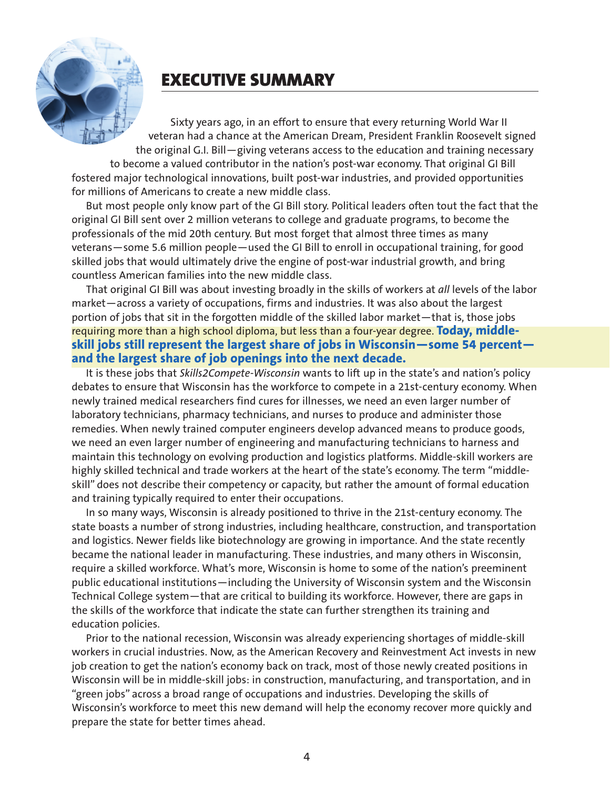

# **EXECUTIVE SUMMARY**

Sixty years ago, in an effort to ensure that every returning World War II veteran had a chance at the American Dream, President Franklin Roosevelt signed the original G.I. Bill—giving veterans access to the education and training necessary to become a valued contributor in the nation's post-war economy. That original GI Bill fostered major technological innovations, built post-war industries, and provided opportunities for millions of Americans to create a new middle class.

But most people only know part of the GI Bill story. Political leaders often tout the fact that the original GI Bill sent over 2 million veterans to college and graduate programs, to become the professionals of the mid 20th century. But most forget that almost three times as many veterans—some 5.6 million people—used the GI Bill to enroll in occupational training, for good skilled jobs that would ultimately drive the engine of post-war industrial growth, and bring countless American families into the new middle class.

That original GI Bill was about investing broadly in the skills of workers at *all* levels of the labor market—across a variety of occupations, firms and industries. It was also about the largest portion of jobs that sit in the forgotten middle of the skilled labor market—that is, those jobs requiring more than a high school diploma, but less than a four-year degree. **Today, middleskill jobs still represent the largest share of jobs in Wisconsin—some 54 percent and the largest share of job openings into the next decade.** 

It is these jobs that *Skills2Compete-Wisconsin* wants to lift up in the state's and nation's policy debates to ensure that Wisconsin has the workforce to compete in a 21st-century economy. When newly trained medical researchers find cures for illnesses, we need an even larger number of laboratory technicians, pharmacy technicians, and nurses to produce and administer those remedies. When newly trained computer engineers develop advanced means to produce goods, we need an even larger number of engineering and manufacturing technicians to harness and maintain this technology on evolving production and logistics platforms. Middle-skill workers are highly skilled technical and trade workers at the heart of the state's economy. The term "middleskill" does not describe their competency or capacity, but rather the amount of formal education and training typically required to enter their occupations.

In so many ways, Wisconsin is already positioned to thrive in the 21st-century economy. The state boasts a number of strong industries, including healthcare, construction, and transportation and logistics. Newer fields like biotechnology are growing in importance. And the state recently became the national leader in manufacturing. These industries, and many others in Wisconsin, require a skilled workforce. What's more, Wisconsin is home to some of the nation's preeminent public educational institutions—including the University of Wisconsin system and the Wisconsin Technical College system—that are critical to building its workforce. However, there are gaps in the skills of the workforce that indicate the state can further strengthen its training and education policies.

Prior to the national recession, Wisconsin was already experiencing shortages of middle-skill workers in crucial industries. Now, as the American Recovery and Reinvestment Act invests in new job creation to get the nation's economy back on track, most of those newly created positions in Wisconsin will be in middle-skill jobs: in construction, manufacturing, and transportation, and in "green jobs" across a broad range of occupations and industries. Developing the skills of Wisconsin's workforce to meet this new demand will help the economy recover more quickly and prepare the state for better times ahead.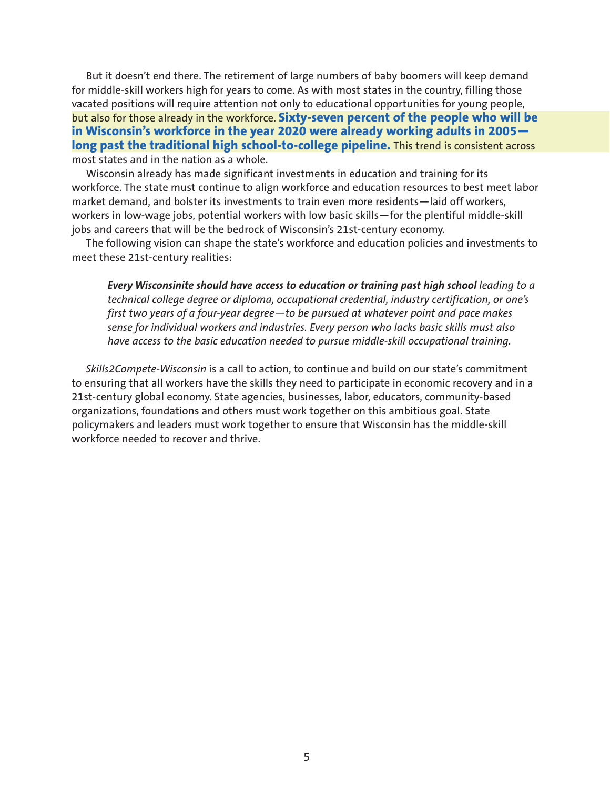But it doesn't end there. The retirement of large numbers of baby boomers will keep demand for middle-skill workers high for years to come. As with most states in the country, filling those vacated positions will require attention not only to educational opportunities for young people, but also for those already in the workforce. **Sixty-seven percent of the people who will be in Wisconsin's workforce in the year 2020 were already working adults in 2005** long past the traditional high school-to-college pipeline. This trend is consistent across most states and in the nation as a whole.

Wisconsin already has made significant investments in education and training for its workforce. The state must continue to align workforce and education resources to best meet labor market demand, and bolster its investments to train even more residents—laid off workers, workers in low-wage jobs, potential workers with low basic skills—for the plentiful middle-skill jobs and careers that will be the bedrock of Wisconsin's 21st-century economy.

The following vision can shape the state's workforce and education policies and investments to meet these 21st-century realities:

*Every Wisconsinite should have access to education or training past high school leading to a technical college degree or diploma, occupational credential, industry certification, or one's first two years of a four-year degree—to be pursued at whatever point and pace makes sense for individual workers and industries. Every person who lacks basic skills must also have access to the basic education needed to pursue middle-skill occupational training.*

*Skills2Compete-Wisconsin* is a call to action, to continue and build on our state's commitment to ensuring that all workers have the skills they need to participate in economic recovery and in a 21st-century global economy. State agencies, businesses, labor, educators, community-based organizations, foundations and others must work together on this ambitious goal. State policymakers and leaders must work together to ensure that Wisconsin has the middle-skill workforce needed to recover and thrive.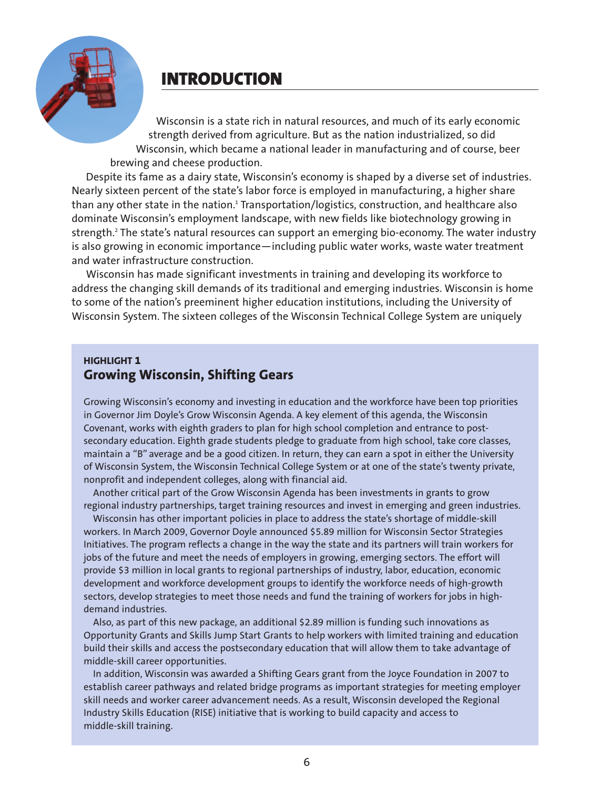

# **INTRODUCTION**

Wisconsin is a state rich in natural resources, and much of its early economic strength derived from agriculture. But as the nation industrialized, so did Wisconsin, which became a national leader in manufacturing and of course, beer brewing and cheese production.

Despite its fame as a dairy state, Wisconsin's economy is shaped by a diverse set of industries. Nearly sixteen percent of the state's labor force is employed in manufacturing, a higher share than any other state in the nation.<sup>1</sup> Transportation/logistics, construction, and healthcare also dominate Wisconsin's employment landscape, with new fields like biotechnology growing in strength.<sup>2</sup> The state's natural resources can support an emerging bio-economy. The water industry is also growing in economic importance—including public water works, waste water treatment and water infrastructure construction.

Wisconsin has made significant investments in training and developing its workforce to address the changing skill demands of its traditional and emerging industries. Wisconsin is home to some of the nation's preeminent higher education institutions, including the University of Wisconsin System. The sixteen colleges of the Wisconsin Technical College System are uniquely

#### **HIGHLIGHT 1 Growing Wisconsin, Shifting Gears**

Growing Wisconsin's economy and investing in education and the workforce have been top priorities in Governor Jim Doyle's Grow Wisconsin Agenda. A key element of this agenda, the Wisconsin Covenant, works with eighth graders to plan for high school completion and entrance to postsecondary education. Eighth grade students pledge to graduate from high school, take core classes, maintain a "B" average and be a good citizen. In return, they can earn a spot in either the University of Wisconsin System, the Wisconsin Technical College System or at one of the state's twenty private, nonprofit and independent colleges, along with financial aid.

Another critical part of the Grow Wisconsin Agenda has been investments in grants to grow regional industry partnerships, target training resources and invest in emerging and green industries.

Wisconsin has other important policies in place to address the state's shortage of middle-skill workers. In March 2009, Governor Doyle announced \$5.89 million for Wisconsin Sector Strategies Initiatives. The program reflects a change in the way the state and its partners will train workers for jobs of the future and meet the needs of employers in growing, emerging sectors. The effort will provide \$3 million in local grants to regional partnerships of industry, labor, education, economic development and workforce development groups to identify the workforce needs of high-growth sectors, develop strategies to meet those needs and fund the training of workers for jobs in highdemand industries.

Also, as part of this new package, an additional \$2.89 million is funding such innovations as Opportunity Grants and Skills Jump Start Grants to help workers with limited training and education build their skills and access the postsecondary education that will allow them to take advantage of middle-skill career opportunities.

In addition, Wisconsin was awarded a Shifting Gears grant from the Joyce Foundation in 2007 to establish career pathways and related bridge programs as important strategies for meeting employer skill needs and worker career advancement needs. As a result, Wisconsin developed the Regional Industry Skills Education (RISE) initiative that is working to build capacity and access to middle-skill training.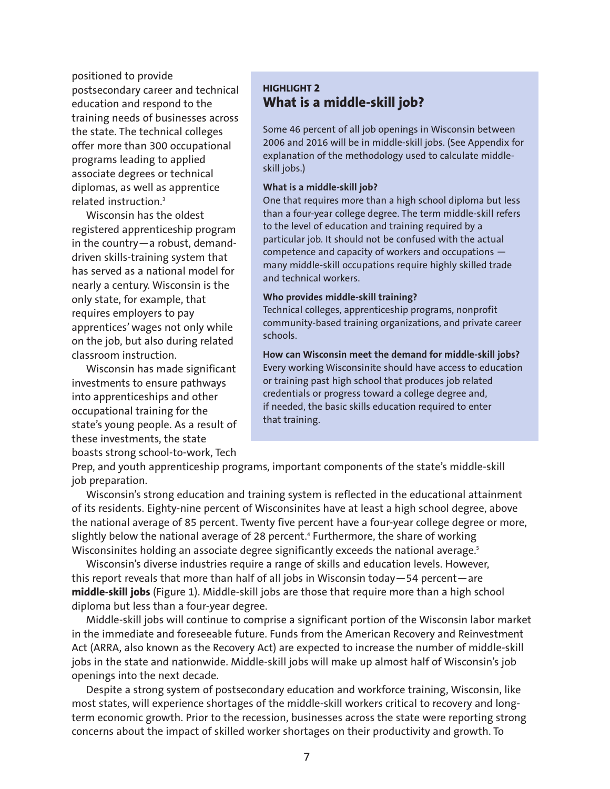positioned to provide postsecondary career and technical education and respond to the training needs of businesses across the state. The technical colleges offer more than 300 occupational programs leading to applied associate degrees or technical diplomas, as well as apprentice related instruction.3

Wisconsin has the oldest registered apprenticeship program in the country—a robust, demanddriven skills-training system that has served as a national model for nearly a century. Wisconsin is the only state, for example, that requires employers to pay apprentices' wages not only while on the job, but also during related classroom instruction.

Wisconsin has made significant investments to ensure pathways into apprenticeships and other occupational training for the state's young people. As a result of these investments, the state boasts strong school-to-work, Tech

#### **HIGHLIGHT 2 What is a middle-skill job?**

Some 46 percent of all job openings in Wisconsin between 2006 and 2016 will be in middle-skill jobs. (See Appendix for explanation of the methodology used to calculate middleskill jobs.)

#### **What is a middle-skill job?**

One that requires more than a high school diploma but less than a four-year college degree. The term middle-skill refers to the level of education and training required by a particular job. It should not be confused with the actual competence and capacity of workers and occupations many middle-skill occupations require highly skilled trade and technical workers.

#### **Who provides middle-skill training?**

Technical colleges, apprenticeship programs, nonprofit community-based training organizations, and private career schools.

**How can Wisconsin meet the demand for middle-skill jobs?** Every working Wisconsinite should have access to education or training past high school that produces job related credentials or progress toward a college degree and, if needed, the basic skills education required to enter that training.

Prep, and youth apprenticeship programs, important components of the state's middle-skill job preparation.

Wisconsin's strong education and training system is reflected in the educational attainment of its residents. Eighty-nine percent of Wisconsinites have at least a high school degree, above the national average of 85 percent. Twenty five percent have a four-year college degree or more, slightly below the national average of 28 percent.<sup>4</sup> Furthermore, the share of working Wisconsinites holding an associate degree significantly exceeds the national average.<sup>5</sup>

Wisconsin's diverse industries require a range of skills and education levels. However, this report reveals that more than half of all jobs in Wisconsin today—54 percent—are **middle-skill jobs** (Figure 1). Middle-skill jobs are those that require more than a high school diploma but less than a four-year degree.

Middle-skill jobs will continue to comprise a significant portion of the Wisconsin labor market in the immediate and foreseeable future. Funds from the American Recovery and Reinvestment Act (ARRA, also known as the Recovery Act) are expected to increase the number of middle-skill jobs in the state and nationwide. Middle-skill jobs will make up almost half of Wisconsin's job openings into the next decade.

Despite a strong system of postsecondary education and workforce training, Wisconsin, like most states, will experience shortages of the middle-skill workers critical to recovery and longterm economic growth. Prior to the recession, businesses across the state were reporting strong concerns about the impact of skilled worker shortages on their productivity and growth. To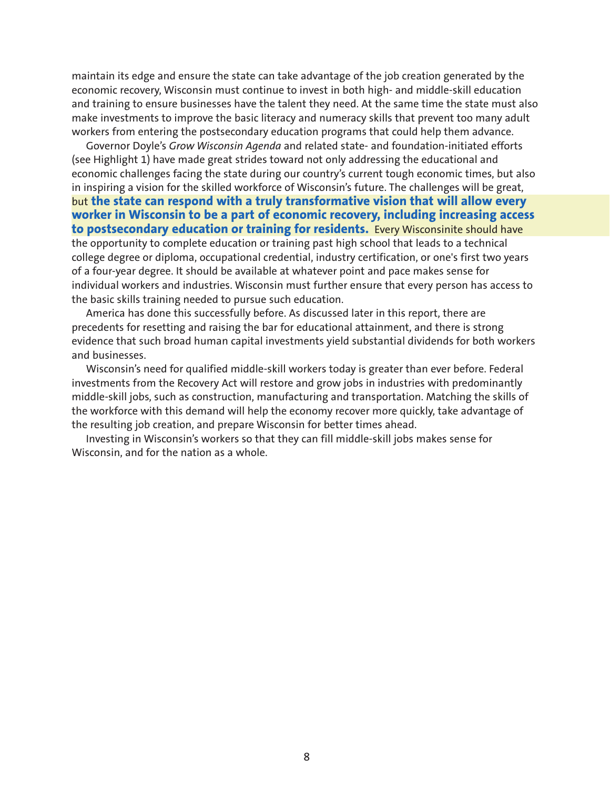maintain its edge and ensure the state can take advantage of the job creation generated by the economic recovery, Wisconsin must continue to invest in both high- and middle-skill education and training to ensure businesses have the talent they need. At the same time the state must also make investments to improve the basic literacy and numeracy skills that prevent too many adult workers from entering the postsecondary education programs that could help them advance.

Governor Doyle's *Grow Wisconsin Agenda* and related state- and foundation-initiated efforts (see Highlight 1) have made great strides toward not only addressing the educational and economic challenges facing the state during our country's current tough economic times, but also in inspiring a vision for the skilled workforce of Wisconsin's future. The challenges will be great, but **the state can respond with a truly transformative vision that will allow every worker in Wisconsin to be a part of economic recovery, including increasing access to postsecondary education or training for residents.** Every Wisconsinite should have the opportunity to complete education or training past high school that leads to a technical college degree or diploma, occupational credential, industry certification, or one's first two years of a four-year degree. It should be available at whatever point and pace makes sense for individual workers and industries. Wisconsin must further ensure that every person has access to the basic skills training needed to pursue such education.

America has done this successfully before. As discussed later in this report, there are precedents for resetting and raising the bar for educational attainment, and there is strong evidence that such broad human capital investments yield substantial dividends for both workers and businesses.

Wisconsin's need for qualified middle-skill workers today is greater than ever before. Federal investments from the Recovery Act will restore and grow jobs in industries with predominantly middle-skill jobs, such as construction, manufacturing and transportation. Matching the skills of the workforce with this demand will help the economy recover more quickly, take advantage of the resulting job creation, and prepare Wisconsin for better times ahead.

Investing in Wisconsin's workers so that they can fill middle-skill jobs makes sense for Wisconsin, and for the nation as a whole.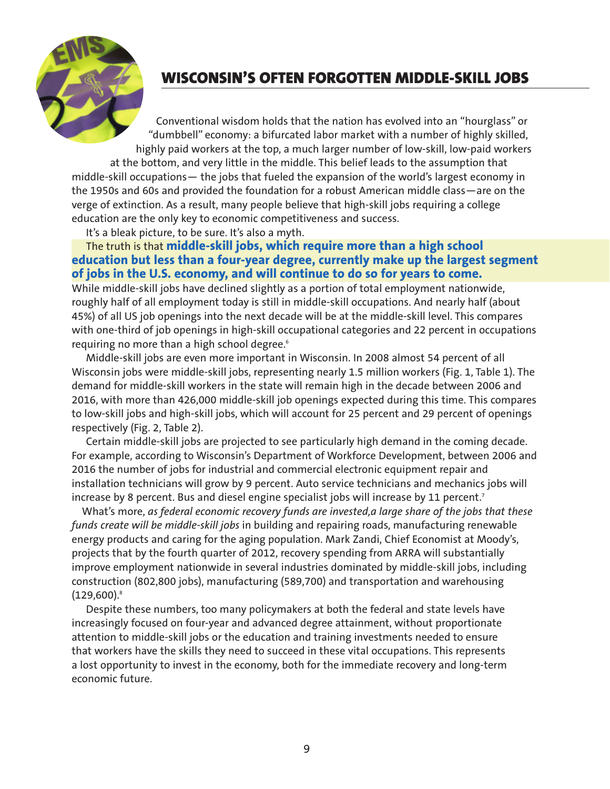

# **WISCONSIN'S OFTEN FORGOTTEN MIDDLE-SKILL JOBS**

Conventional wisdom holds that the nation has evolved into an "hourglass" or "dumbbell" economy: a bifurcated labor market with a number of highly skilled, highly paid workers at the top, a much larger number of low-skill, low-paid workers

at the bottom, and very little in the middle. This belief leads to the assumption that middle-skill occupations— the jobs that fueled the expansion of the world's largest economy in the 1950s and 60s and provided the foundation for a robust American middle class—are on the verge of extinction. As a result, many people believe that high-skill jobs requiring a college education are the only key to economic competitiveness and success.

It's a bleak picture, to be sure. It's also a myth.

#### The truth is that **middle-skill jobs, which require more than a high school education but less than a four-year degree, currently make up the largest segment of jobs in the U.S. economy, and will continue to do so for years to come.**

While middle-skill jobs have declined slightly as a portion of total employment nationwide, roughly half of all employment today is still in middle-skill occupations. And nearly half (about 45%) of all US job openings into the next decade will be at the middle-skill level. This compares with one-third of job openings in high-skill occupational categories and 22 percent in occupations requiring no more than a high school degree.<sup>6</sup>

Middle-skill jobs are even more important in Wisconsin. In 2008 almost 54 percent of all Wisconsin jobs were middle-skill jobs, representing nearly 1.5 million workers (Fig. 1, Table 1). The demand for middle-skill workers in the state will remain high in the decade between 2006 and 2016, with more than 426,000 middle-skill job openings expected during this time. This compares to low-skill jobs and high-skill jobs, which will account for 25 percent and 29 percent of openings respectively (Fig. 2, Table 2).

Certain middle-skill jobs are projected to see particularly high demand in the coming decade. For example, according to Wisconsin's Department of Workforce Development, between 2006 and 2016 the number of jobs for industrial and commercial electronic equipment repair and installation technicians will grow by 9 percent. Auto service technicians and mechanics jobs will increase by 8 percent. Bus and diesel engine specialist jobs will increase by 11 percent.<sup>7</sup>

What's more, *as federal economic recovery funds are invested,a large share of the jobs that these funds create will be middle-skill jobs* in building and repairing roads, manufacturing renewable energy products and caring for the aging population. Mark Zandi, Chief Economist at Moody's, projects that by the fourth quarter of 2012, recovery spending from ARRA will substantially improve employment nationwide in several industries dominated by middle-skill jobs, including construction (802,800 jobs), manufacturing (589,700) and transportation and warehousing  $(129,600).$ <sup>8</sup>

Despite these numbers, too many policymakers at both the federal and state levels have increasingly focused on four-year and advanced degree attainment, without proportionate attention to middle-skill jobs or the education and training investments needed to ensure that workers have the skills they need to succeed in these vital occupations. This represents a lost opportunity to invest in the economy, both for the immediate recovery and long-term economic future.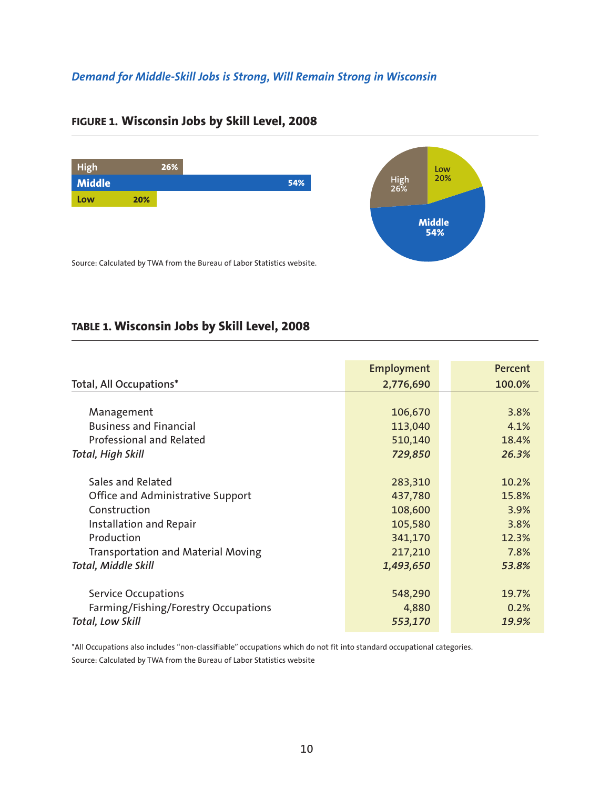## *Demand for Middle-Skill Jobs is Strong, Will Remain Strong in Wisconsin*



## **FIGURE 1. Wisconsin Jobs by Skill Level, 2008**

# **TABLE 1. Wisconsin Jobs by Skill Level, 2008**

| Employment<br>2,776,690 | Percent<br>100.0% |
|-------------------------|-------------------|
|                         |                   |
|                         |                   |
|                         |                   |
| 106,670                 | 3.8%              |
| 113,040                 | 4.1%              |
| 510,140                 | 18.4%             |
| 729,850                 | 26.3%             |
|                         |                   |
| 283,310                 | 10.2%             |
| 437,780                 | 15.8%             |
| 108,600                 | 3.9%              |
| 105,580                 | 3.8%              |
| 341,170                 | 12.3%             |
| 217,210                 | 7.8%              |
| 1,493,650               | 53.8%             |
|                         |                   |
| 548,290                 | 19.7%             |
| 4,880                   | 0.2%              |
| 553,170                 | 19.9%             |
|                         |                   |

\*All Occupations also includes "non-classifiable" occupations which do not fit into standard occupational categories. Source: Calculated by TWA from the Bureau of Labor Statistics website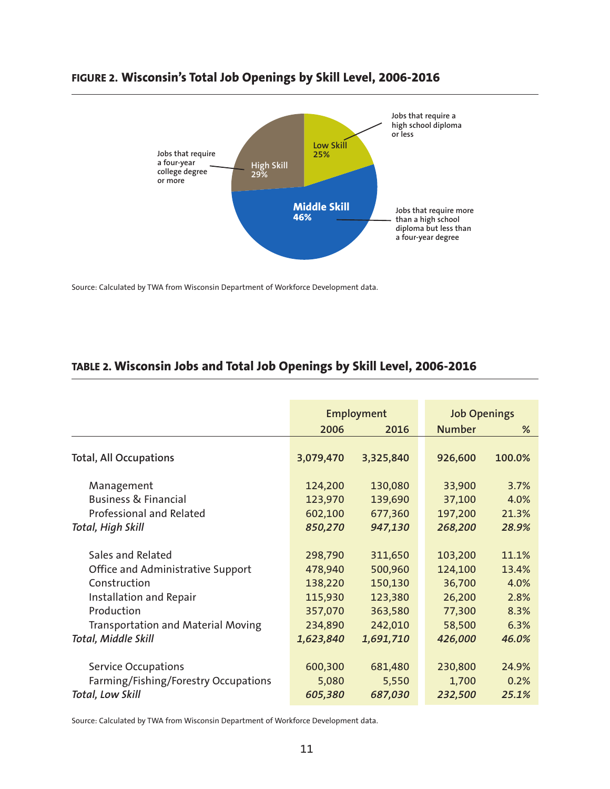



Source: Calculated by TWA from Wisconsin Department of Workforce Development data.

## **TABLE 2. Wisconsin Jobs and Total Job Openings by Skill Level, 2006-2016**

|                                           |           | Employment | <b>Job Openings</b> |        |  |
|-------------------------------------------|-----------|------------|---------------------|--------|--|
|                                           | 2006      | 2016       | <b>Number</b>       | %      |  |
|                                           |           |            |                     |        |  |
| <b>Total, All Occupations</b>             | 3,079,470 | 3,325,840  | 926,600             | 100.0% |  |
|                                           |           |            |                     |        |  |
| Management                                | 124,200   | 130,080    | 33,900              | 3.7%   |  |
| <b>Business &amp; Financial</b>           | 123,970   | 139,690    | 37,100              | 4.0%   |  |
| Professional and Related                  | 602,100   | 677,360    | 197,200             | 21.3%  |  |
| Total, High Skill                         | 850,270   | 947,130    | 268,200             | 28.9%  |  |
|                                           |           |            |                     |        |  |
| Sales and Related                         | 298,790   | 311,650    | 103,200             | 11.1%  |  |
| Office and Administrative Support         | 478,940   | 500,960    | 124,100             | 13.4%  |  |
| Construction                              | 138,220   | 150,130    | 36,700              | 4.0%   |  |
| Installation and Repair                   | 115,930   | 123,380    | 26,200              | 2.8%   |  |
| Production                                | 357,070   | 363,580    | 77,300              | 8.3%   |  |
| <b>Transportation and Material Moving</b> | 234,890   | 242,010    | 58,500              | 6.3%   |  |
| Total, Middle Skill                       | 1,623,840 | 1,691,710  | 426,000             | 46.0%  |  |
|                                           |           |            |                     |        |  |
| <b>Service Occupations</b>                | 600,300   | 681,480    | 230,800             | 24.9%  |  |
| Farming/Fishing/Forestry Occupations      | 5,080     | 5,550      | 1,700               | 0.2%   |  |
| <b>Total, Low Skill</b>                   | 605,380   | 687,030    | 232,500             | 25.1%  |  |

Source: Calculated by TWA from Wisconsin Department of Workforce Development data.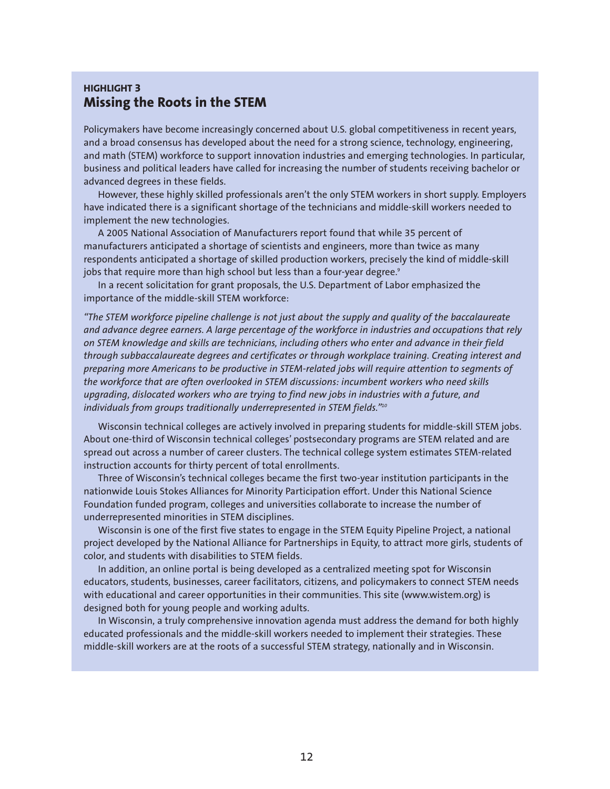#### **HIGHLIGHT 3 Missing the Roots in the STEM**

Policymakers have become increasingly concerned about U.S. global competitiveness in recent years, and a broad consensus has developed about the need for a strong science, technology, engineering, and math (STEM) workforce to support innovation industries and emerging technologies. In particular, business and political leaders have called for increasing the number of students receiving bachelor or advanced degrees in these fields.

However, these highly skilled professionals aren't the only STEM workers in short supply. Employers have indicated there is a significant shortage of the technicians and middle-skill workers needed to implement the new technologies.

A 2005 National Association of Manufacturers report found that while 35 percent of manufacturers anticipated a shortage of scientists and engineers, more than twice as many respondents anticipated a shortage of skilled production workers, precisely the kind of middle-skill jobs that require more than high school but less than a four-year degree.<sup>9</sup>

In a recent solicitation for grant proposals, the U.S. Department of Labor emphasized the importance of the middle-skill STEM workforce:

*"The STEM workforce pipeline challenge is not just about the supply and quality of the baccalaureate and advance degree earners. A large percentage of the workforce in industries and occupations that rely on STEM knowledge and skills are technicians, including others who enter and advance in their field through subbaccalaureate degrees and certificates or through workplace training. Creating interest and preparing more Americans to be productive in STEM-related jobs will require attention to segments of the workforce that are often overlooked in STEM discussions: incumbent workers who need skills upgrading, dislocated workers who are trying to find new jobs in industries with a future, and individuals from groups traditionally underrepresented in STEM fields."10*

Wisconsin technical colleges are actively involved in preparing students for middle-skill STEM jobs. About one-third of Wisconsin technical colleges' postsecondary programs are STEM related and are spread out across a number of career clusters. The technical college system estimates STEM-related instruction accounts for thirty percent of total enrollments.

Three of Wisconsin's technical colleges became the first two-year institution participants in the nationwide Louis Stokes Alliances for Minority Participation effort. Under this National Science Foundation funded program, colleges and universities collaborate to increase the number of underrepresented minorities in STEM disciplines.

Wisconsin is one of the first five states to engage in the STEM Equity Pipeline Project, a national project developed by the National Alliance for Partnerships in Equity, to attract more girls, students of color, and students with disabilities to STEM fields.

In addition, an online portal is being developed as a centralized meeting spot for Wisconsin educators, students, businesses, career facilitators, citizens, and policymakers to connect STEM needs with educational and career opportunities in their communities. This site (www.wistem.org) is designed both for young people and working adults.

In Wisconsin, a truly comprehensive innovation agenda must address the demand for both highly educated professionals and the middle-skill workers needed to implement their strategies. These middle-skill workers are at the roots of a successful STEM strategy, nationally and in Wisconsin.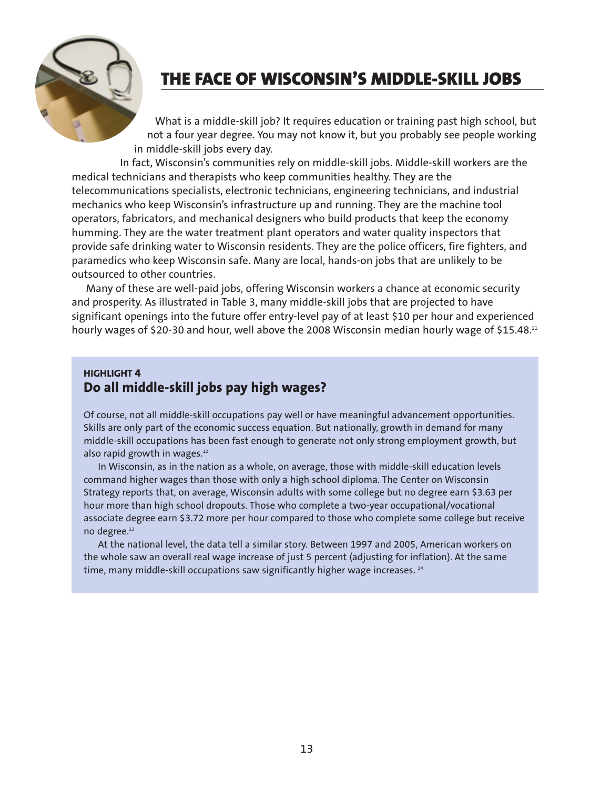

# **THE FACE OF WISCONSIN'S MIDDLE-SKILL JOBS**

What is a middle-skill job? It requires education or training past high school, but not a four year degree. You may not know it, but you probably see people working in middle-skill jobs every day.

In fact, Wisconsin's communities rely on middle-skill jobs. Middle-skill workers are the medical technicians and therapists who keep communities healthy. They are the telecommunications specialists, electronic technicians, engineering technicians, and industrial mechanics who keep Wisconsin's infrastructure up and running. They are the machine tool operators, fabricators, and mechanical designers who build products that keep the economy humming. They are the water treatment plant operators and water quality inspectors that provide safe drinking water to Wisconsin residents. They are the police officers, fire fighters, and paramedics who keep Wisconsin safe. Many are local, hands-on jobs that are unlikely to be outsourced to other countries.

Many of these are well-paid jobs, offering Wisconsin workers a chance at economic security and prosperity. As illustrated in Table 3, many middle-skill jobs that are projected to have significant openings into the future offer entry-level pay of at least \$10 per hour and experienced hourly wages of \$20-30 and hour, well above the 2008 Wisconsin median hourly wage of \$15.48.<sup>11</sup>

#### **HIGHLIGHT 4 Do all middle-skill jobs pay high wages?**

Of course, not all middle-skill occupations pay well or have meaningful advancement opportunities. Skills are only part of the economic success equation. But nationally, growth in demand for many middle-skill occupations has been fast enough to generate not only strong employment growth, but also rapid growth in wages. $12$ 

In Wisconsin, as in the nation as a whole, on average, those with middle-skill education levels command higher wages than those with only a high school diploma. The Center on Wisconsin Strategy reports that, on average, Wisconsin adults with some college but no degree earn \$3.63 per hour more than high school dropouts. Those who complete a two-year occupational/vocational associate degree earn \$3.72 more per hour compared to those who complete some college but receive no degree.<sup>13</sup>

At the national level, the data tell a similar story. Between 1997 and 2005, American workers on the whole saw an overall real wage increase of just 5 percent (adjusting for inflation). At the same time, many middle-skill occupations saw significantly higher wage increases.<sup>14</sup>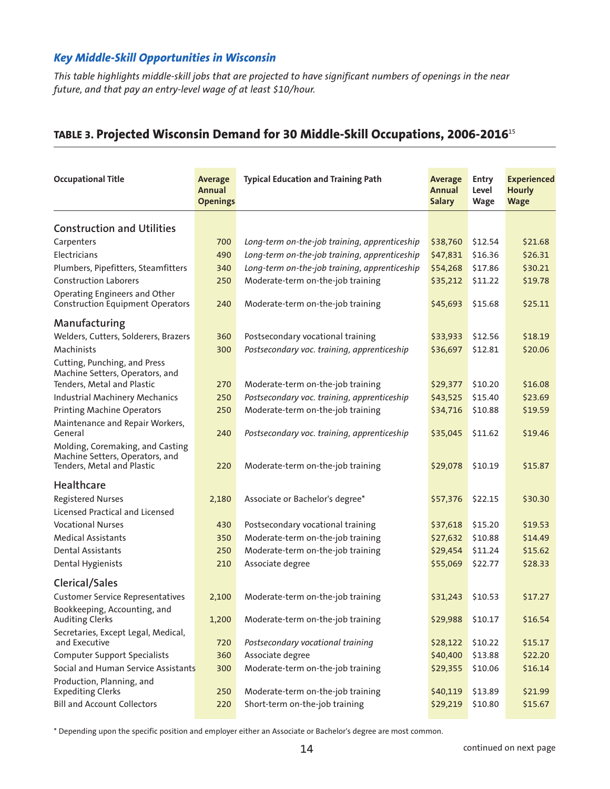#### *Key Middle-Skill Opportunities in Wisconsin*

*This table highlights middle-skill jobs that are projected to have significant numbers of openings in the near future, and that pay an entry-level wage of at least \$10/hour.*

# **TABLE 3. Projected Wisconsin Demand for 30 Middle-Skill Occupations, 2006-2016**<sup>15</sup>

| <b>Occupational Title</b>                                                                         | <b>Average</b><br>Annual<br><b>Openings</b> | <b>Typical Education and Training Path</b>    | <b>Average</b><br>Annual<br><b>Salary</b> | <b>Entry</b><br>Level<br>Wage | <b>Experienced</b><br><b>Hourly</b><br><b>Wage</b> |
|---------------------------------------------------------------------------------------------------|---------------------------------------------|-----------------------------------------------|-------------------------------------------|-------------------------------|----------------------------------------------------|
| <b>Construction and Utilities</b>                                                                 |                                             |                                               |                                           |                               |                                                    |
| Carpenters                                                                                        | 700                                         | Long-term on-the-job training, apprenticeship | \$38,760                                  | \$12.54                       | \$21.68                                            |
| Electricians                                                                                      | 490                                         | Long-term on-the-job training, apprenticeship | \$47,831                                  | \$16.36                       | \$26.31                                            |
| Plumbers, Pipefitters, Steamfitters                                                               | 340                                         | Long-term on-the-job training, apprenticeship | \$54,268                                  | \$17.86                       | \$30.21                                            |
| <b>Construction Laborers</b>                                                                      | 250                                         | Moderate-term on-the-job training             | \$35,212                                  | \$11.22                       | \$19.78                                            |
| Operating Engineers and Other<br><b>Construction Equipment Operators</b>                          | 240                                         | Moderate-term on-the-job training             | \$45,693                                  | \$15.68                       | \$25.11                                            |
| Manufacturing                                                                                     |                                             |                                               |                                           |                               |                                                    |
| Welders, Cutters, Solderers, Brazers                                                              | 360                                         | Postsecondary vocational training             | \$33,933                                  | \$12.56                       | \$18.19                                            |
| Machinists                                                                                        | 300                                         | Postsecondary voc. training, apprenticeship   | \$36,697                                  | \$12.81                       | \$20.06                                            |
| Cutting, Punching, and Press<br>Machine Setters, Operators, and                                   |                                             |                                               |                                           |                               |                                                    |
| Tenders, Metal and Plastic                                                                        | 270                                         | Moderate-term on-the-job training             | \$29,377                                  | \$10.20                       | \$16.08                                            |
| <b>Industrial Machinery Mechanics</b>                                                             | 250                                         | Postsecondary voc. training, apprenticeship   | \$43,525                                  | \$15.40                       | \$23.69                                            |
| <b>Printing Machine Operators</b>                                                                 | 250                                         | Moderate-term on-the-job training             | \$34,716                                  | \$10.88                       | \$19.59                                            |
| Maintenance and Repair Workers,<br>General                                                        | 240                                         | Postsecondary voc. training, apprenticeship   | \$35,045                                  | \$11.62                       | \$19.46                                            |
| Molding, Coremaking, and Casting<br>Machine Setters, Operators, and<br>Tenders, Metal and Plastic | 220                                         | Moderate-term on-the-job training             | \$29,078                                  | \$10.19                       | \$15.87                                            |
| Healthcare                                                                                        |                                             |                                               |                                           |                               |                                                    |
| <b>Registered Nurses</b>                                                                          | 2,180                                       | Associate or Bachelor's degree*               | \$57,376                                  | \$22.15                       | \$30.30                                            |
| Licensed Practical and Licensed                                                                   |                                             |                                               |                                           |                               |                                                    |
| <b>Vocational Nurses</b>                                                                          | 430                                         | Postsecondary vocational training             | \$37,618                                  | \$15.20                       | \$19.53                                            |
| <b>Medical Assistants</b>                                                                         | 350                                         | Moderate-term on-the-job training             | \$27,632                                  | \$10.88                       | \$14.49                                            |
| <b>Dental Assistants</b>                                                                          | 250                                         | Moderate-term on-the-job training             | \$29,454                                  | \$11.24                       | \$15.62                                            |
| Dental Hygienists                                                                                 | 210                                         | Associate degree                              | \$55,069                                  | \$22.77                       | \$28.33                                            |
| <b>Clerical/Sales</b>                                                                             |                                             |                                               |                                           |                               |                                                    |
| <b>Customer Service Representatives</b>                                                           | 2,100                                       | Moderate-term on-the-job training             | \$31,243                                  | \$10.53                       | \$17.27                                            |
| Bookkeeping, Accounting, and<br><b>Auditing Clerks</b>                                            | 1,200                                       | Moderate-term on-the-job training             | \$29,988                                  | \$10.17                       | \$16.54                                            |
| Secretaries, Except Legal, Medical,<br>and Executive                                              | 720                                         | Postsecondary vocational training             | \$28,122                                  | \$10.22                       | \$15.17                                            |
| <b>Computer Support Specialists</b>                                                               | 360                                         | Associate degree                              | \$40,400                                  | \$13.88                       | \$22.20                                            |
| Social and Human Service Assistants                                                               | 300                                         | Moderate-term on-the-job training             | \$29,355                                  | \$10.06                       | \$16.14                                            |
| Production, Planning, and<br><b>Expediting Clerks</b>                                             | 250                                         | Moderate-term on-the-job training             | \$40,119                                  | \$13.89                       | \$21.99                                            |
| <b>Bill and Account Collectors</b>                                                                | 220                                         | Short-term on-the-job training                | \$29,219                                  | \$10.80                       | \$15.67                                            |

\* Depending upon the specific position and employer either an Associate or Bachelor's degree are most common.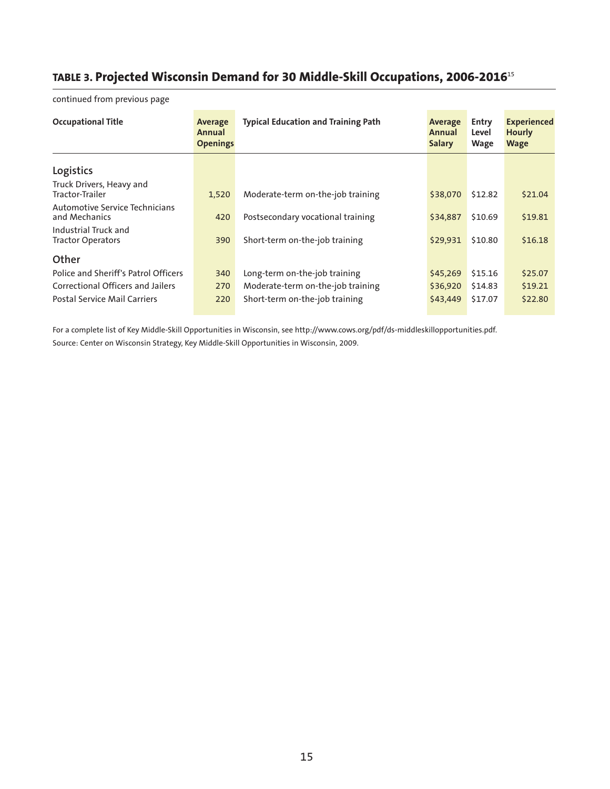# **TABLE 3. Projected Wisconsin Demand for 30 Middle-Skill Occupations, 2006-2016**<sup>15</sup>

| <b>Occupational Title</b>                        | Average<br>Annual<br><b>Openings</b> | <b>Typical Education and Training Path</b><br>Average<br>Annual<br><b>Salary</b> |          | Entry<br>Level<br>Wage | <b>Experienced</b><br><b>Hourly</b><br><b>Wage</b> |
|--------------------------------------------------|--------------------------------------|----------------------------------------------------------------------------------|----------|------------------------|----------------------------------------------------|
| Logistics                                        |                                      |                                                                                  |          |                        |                                                    |
| Truck Drivers, Heavy and<br>Tractor-Trailer      | 1,520                                | Moderate-term on-the-job training                                                | \$38,070 | \$12.82                | \$21.04                                            |
| Automotive Service Technicians<br>and Mechanics  | 420                                  | Postsecondary vocational training                                                | \$34,887 | \$10.69                | \$19.81                                            |
| Industrial Truck and<br><b>Tractor Operators</b> | 390                                  | Short-term on-the-job training                                                   | \$29,931 | \$10.80                | \$16.18                                            |
| Other                                            |                                      |                                                                                  |          |                        |                                                    |
| Police and Sheriff's Patrol Officers             | 340                                  | Long-term on-the-job training                                                    | \$45,269 | \$15.16                | \$25.07                                            |
| Correctional Officers and Jailers                | 270                                  | Moderate-term on-the-job training                                                | \$36,920 | \$14.83                | \$19.21                                            |
| <b>Postal Service Mail Carriers</b>              | 220                                  | Short-term on-the-job training                                                   | \$43,449 | \$17.07                | \$22.80                                            |

continued from previous page

For a complete list of Key Middle-Skill Opportunities in Wisconsin, see http://www.cows.org/pdf/ds-middleskillopportunities.pdf. Source: Center on Wisconsin Strategy, Key Middle-Skill Opportunities in Wisconsin, 2009.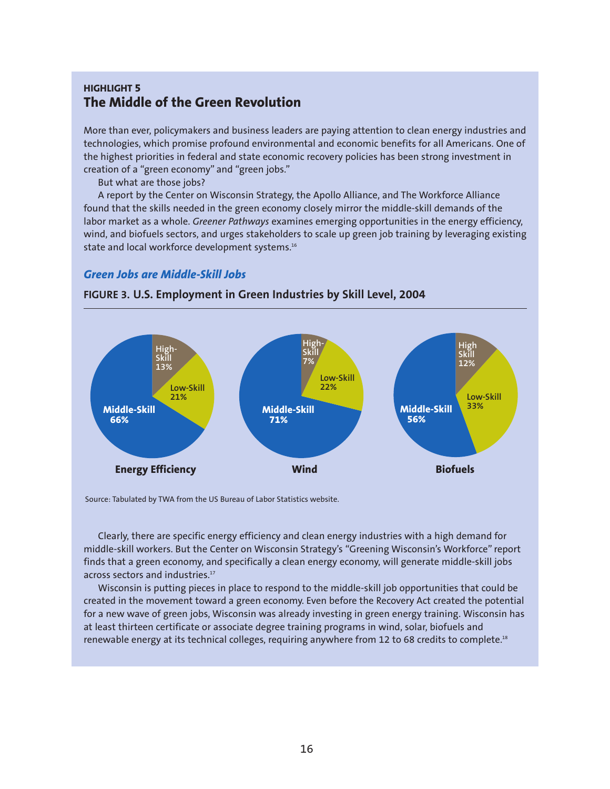#### **HIGHLIGHT 5 The Middle of the Green Revolution**

More than ever, policymakers and business leaders are paying attention to clean energy industries and technologies, which promise profound environmental and economic benefits for all Americans. One of the highest priorities in federal and state economic recovery policies has been strong investment in creation of a "green economy" and "green jobs."

But what are those jobs?

A report by the Center on Wisconsin Strategy, the Apollo Alliance, and The Workforce Alliance found that the skills needed in the green economy closely mirror the middle-skill demands of the labor market as a whole. *Greener Pathways* examines emerging opportunities in the energy efficiency, wind, and biofuels sectors, and urges stakeholders to scale up green job training by leveraging existing state and local workforce development systems.<sup>16</sup>

#### *Green Jobs are Middle-Skill Jobs*



**FIGURE 3. U.S. Employment in Green Industries by Skill Level, 2004**

Source: Tabulated by TWA from the US Bureau of Labor Statistics website.

Clearly, there are specific energy efficiency and clean energy industries with a high demand for middle-skill workers. But the Center on Wisconsin Strategy's "Greening Wisconsin's Workforce" report finds that a green economy, and specifically a clean energy economy, will generate middle-skill jobs across sectors and industries.<sup>17</sup>

Wisconsin is putting pieces in place to respond to the middle-skill job opportunities that could be created in the movement toward a green economy. Even before the Recovery Act created the potential for a new wave of green jobs, Wisconsin was already investing in green energy training. Wisconsin has at least thirteen certificate or associate degree training programs in wind, solar, biofuels and renewable energy at its technical colleges, requiring anywhere from 12 to 68 credits to complete.<sup>18</sup>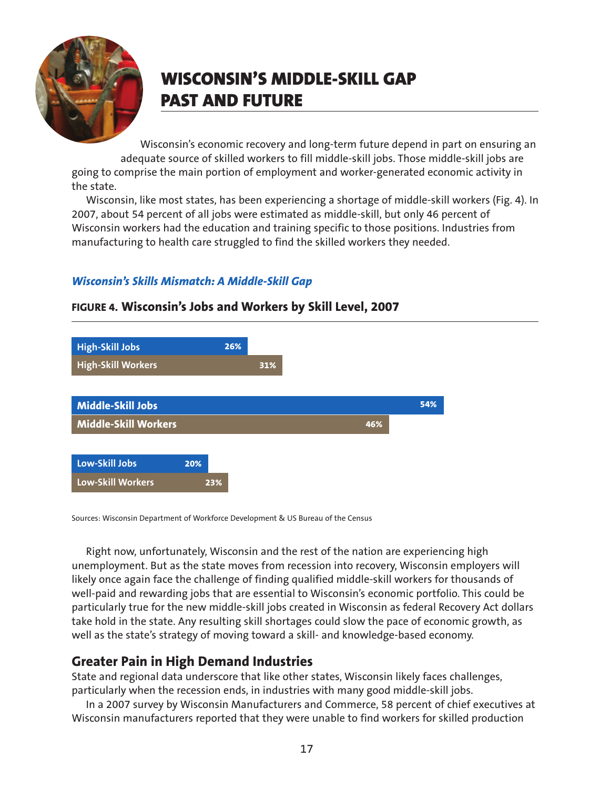

# **WISCONSIN'S MIDDLE-SKILL GAP PAST AND FUTURE**

Wisconsin's economic recovery and long-term future depend in part on ensuring an adequate source of skilled workers to fill middle-skill jobs. Those middle-skill jobs are going to comprise the main portion of employment and worker-generated economic activity in the state.

Wisconsin, like most states, has been experiencing a shortage of middle-skill workers (Fig. 4). In 2007, about 54 percent of all jobs were estimated as middle-skill, but only 46 percent of Wisconsin workers had the education and training specific to those positions. Industries from manufacturing to health care struggled to find the skilled workers they needed.

## *Wisconsin's Skills Mismatch: A Middle-Skill Gap*



#### **FIGURE 4. Wisconsin's Jobs and Workers by Skill Level, 2007**

Sources: Wisconsin Department of Workforce Development & US Bureau of the Census

Right now, unfortunately, Wisconsin and the rest of the nation are experiencing high unemployment. But as the state moves from recession into recovery, Wisconsin employers will likely once again face the challenge of finding qualified middle-skill workers for thousands of well-paid and rewarding jobs that are essential to Wisconsin's economic portfolio. This could be particularly true for the new middle-skill jobs created in Wisconsin as federal Recovery Act dollars take hold in the state. Any resulting skill shortages could slow the pace of economic growth, as well as the state's strategy of moving toward a skill- and knowledge-based economy.

## **Greater Pain in High Demand Industries**

State and regional data underscore that like other states, Wisconsin likely faces challenges, particularly when the recession ends, in industries with many good middle-skill jobs.

In a 2007 survey by Wisconsin Manufacturers and Commerce, 58 percent of chief executives at Wisconsin manufacturers reported that they were unable to find workers for skilled production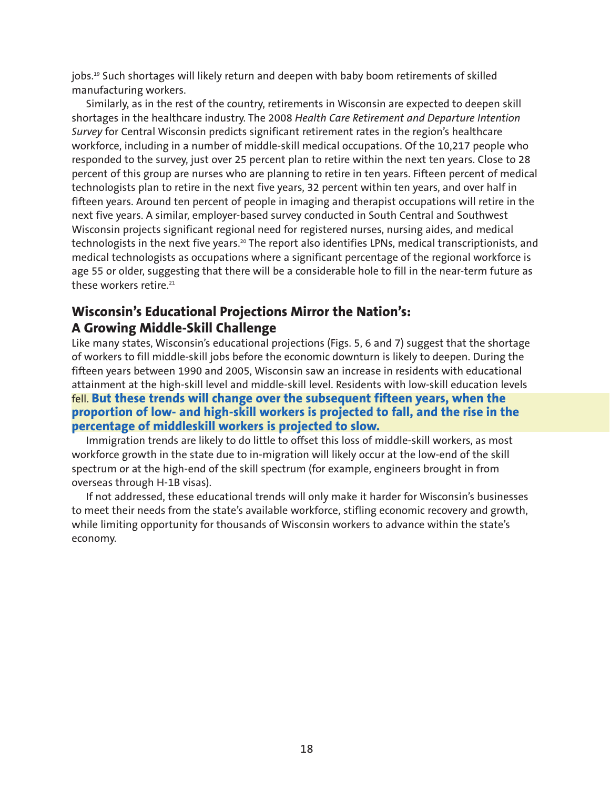jobs.<sup>19</sup> Such shortages will likely return and deepen with baby boom retirements of skilled manufacturing workers.

Similarly, as in the rest of the country, retirements in Wisconsin are expected to deepen skill shortages in the healthcare industry. The 2008 *Health Care Retirement and Departure Intention Survey* for Central Wisconsin predicts significant retirement rates in the region's healthcare workforce, including in a number of middle-skill medical occupations. Of the 10,217 people who responded to the survey, just over 25 percent plan to retire within the next ten years. Close to 28 percent of this group are nurses who are planning to retire in ten years. Fifteen percent of medical technologists plan to retire in the next five years, 32 percent within ten years, and over half in fifteen years. Around ten percent of people in imaging and therapist occupations will retire in the next five years. A similar, employer-based survey conducted in South Central and Southwest Wisconsin projects significant regional need for registered nurses, nursing aides, and medical technologists in the next five years.<sup>20</sup> The report also identifies LPNs, medical transcriptionists, and medical technologists as occupations where a significant percentage of the regional workforce is age 55 or older, suggesting that there will be a considerable hole to fill in the near-term future as these workers retire.<sup>21</sup>

## **Wisconsin's Educational Projections Mirror the Nation's: A Growing Middle-Skill Challenge**

Like many states, Wisconsin's educational projections (Figs. 5, 6 and 7) suggest that the shortage of workers to fill middle-skill jobs before the economic downturn is likely to deepen. During the fifteen years between 1990 and 2005, Wisconsin saw an increase in residents with educational attainment at the high-skill level and middle-skill level. Residents with low-skill education levels fell. **But these trends will change over the subsequent fifteen years, when the proportion of low- and high-skill workers is projected to fall, and the rise in the percentage of middleskill workers is projected to slow.**

Immigration trends are likely to do little to offset this loss of middle-skill workers, as most workforce growth in the state due to in-migration will likely occur at the low-end of the skill spectrum or at the high-end of the skill spectrum (for example, engineers brought in from overseas through H-1B visas).

If not addressed, these educational trends will only make it harder for Wisconsin's businesses to meet their needs from the state's available workforce, stifling economic recovery and growth, while limiting opportunity for thousands of Wisconsin workers to advance within the state's economy.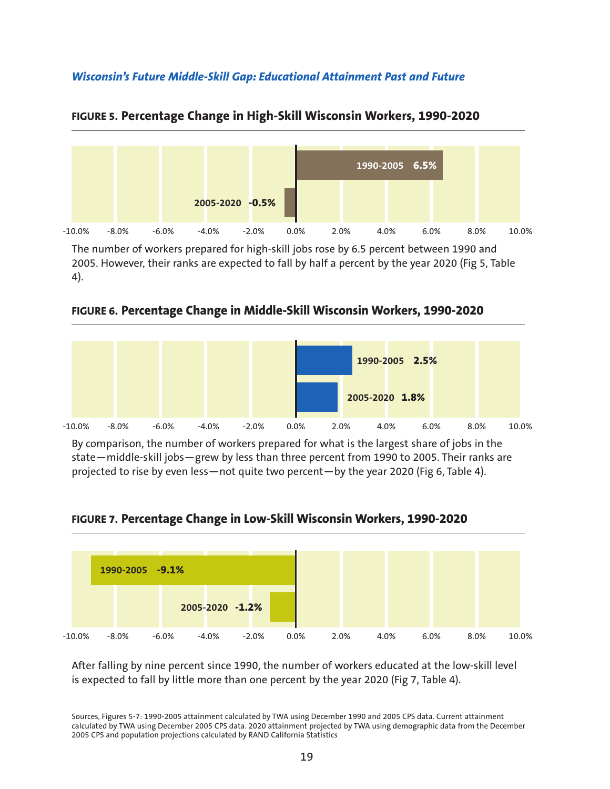#### *Wisconsin's Future Middle-Skill Gap: Educational Attainment Past and Future*



#### **FIGURE 5. Percentage Change in High-Skill Wisconsin Workers, 1990-2020**

The number of workers prepared for high-skill jobs rose by 6.5 percent between 1990 and 2005. However, their ranks are expected to fall by half a percent by the year 2020 (Fig 5, Table 4).





By comparison, the number of workers prepared for what is the largest share of jobs in the state—middle-skill jobs—grew by less than three percent from 1990 to 2005. Their ranks are projected to rise by even less—not quite two percent—by the year 2020 (Fig 6, Table 4).





After falling by nine percent since 1990, the number of workers educated at the low-skill level is expected to fall by little more than one percent by the year 2020 (Fig 7, Table 4).

Sources, Figures 5-7: 1990-2005 attainment calculated by TWA using December 1990 and 2005 CPS data. Current attainment calculated by TWA using December 2005 CPS data. 2020 attainment projected by TWA using demographic data from the December 2005 CPS and population projections calculated by RAND California Statistics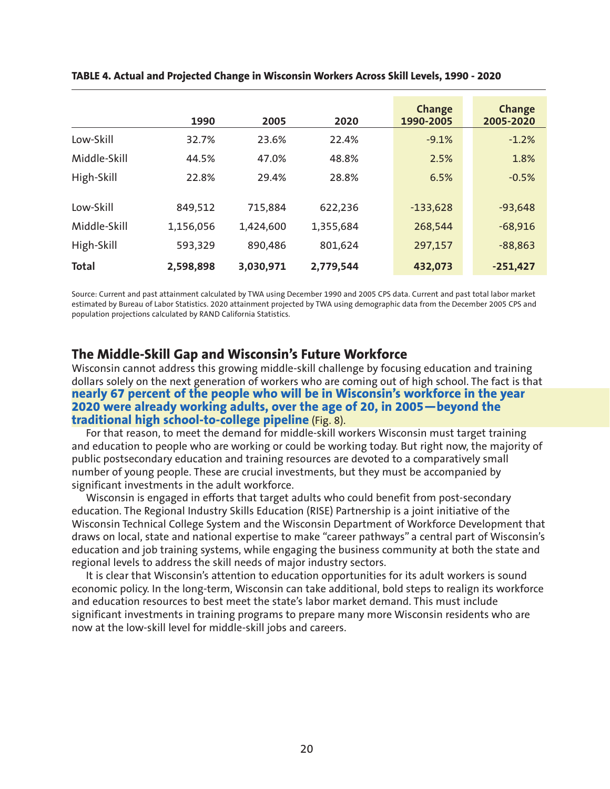|              | 1990      | 2005      | 2020      | <b>Change</b><br>1990-2005 | <b>Change</b><br>2005-2020 |
|--------------|-----------|-----------|-----------|----------------------------|----------------------------|
| Low-Skill    | 32.7%     | 23.6%     | 22.4%     | $-9.1%$                    | $-1.2%$                    |
| Middle-Skill | 44.5%     | 47.0%     | 48.8%     | 2.5%                       | 1.8%                       |
| High-Skill   | 22.8%     | 29.4%     | 28.8%     | 6.5%                       | $-0.5%$                    |
| Low-Skill    | 849,512   | 715,884   | 622,236   | $-133,628$                 | $-93,648$                  |
| Middle-Skill | 1,156,056 | 1,424,600 | 1,355,684 | 268,544                    | $-68,916$                  |
| High-Skill   | 593,329   | 890,486   | 801,624   | 297,157                    | $-88,863$                  |
| <b>Total</b> | 2,598,898 | 3,030,971 | 2,779,544 | 432,073                    | $-251,427$                 |

**TABLE 4. Actual and Projected Change in Wisconsin Workers Across Skill Levels, 1990 - 2020**

Source: Current and past attainment calculated by TWA using December 1990 and 2005 CPS data. Current and past total labor market estimated by Bureau of Labor Statistics. 2020 attainment projected by TWA using demographic data from the December 2005 CPS and population projections calculated by RAND California Statistics.

#### **The Middle-Skill Gap and Wisconsin's Future Workforce**

Wisconsin cannot address this growing middle-skill challenge by focusing education and training dollars solely on the next generation of workers who are coming out of high school. The fact is that **nearly 67 percent of the people who will be in Wisconsin's workforce in the year 2020 were already working adults, over the age of 20, in 2005—beyond the traditional high school-to-college pipeline** (Fig. 8).

For that reason, to meet the demand for middle-skill workers Wisconsin must target training and education to people who are working or could be working today. But right now, the majority of public postsecondary education and training resources are devoted to a comparatively small number of young people. These are crucial investments, but they must be accompanied by significant investments in the adult workforce.

Wisconsin is engaged in efforts that target adults who could benefit from post-secondary education. The Regional Industry Skills Education (RISE) Partnership is a joint initiative of the Wisconsin Technical College System and the Wisconsin Department of Workforce Development that draws on local, state and national expertise to make "career pathways" a central part of Wisconsin's education and job training systems, while engaging the business community at both the state and regional levels to address the skill needs of major industry sectors.

It is clear that Wisconsin's attention to education opportunities for its adult workers is sound economic policy. In the long-term, Wisconsin can take additional, bold steps to realign its workforce and education resources to best meet the state's labor market demand. This must include significant investments in training programs to prepare many more Wisconsin residents who are now at the low-skill level for middle-skill jobs and careers.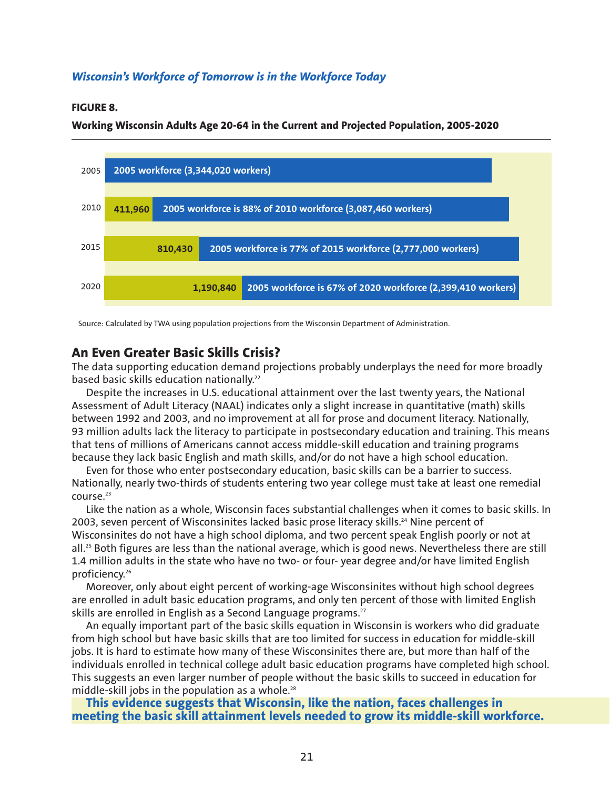#### *Wisconsin's Workforce of Tomorrow is in the Workforce Today*

#### **FIGURE 8.**

#### **Working Wisconsin Adults Age 20-64 in the Current and Projected Population, 2005-2020**



Source: Calculated by TWA using population projections from the Wisconsin Department of Administration.

#### **An Even Greater Basic Skills Crisis?**

The data supporting education demand projections probably underplays the need for more broadly based basic skills education nationally.<sup>22</sup>

Despite the increases in U.S. educational attainment over the last twenty years, the National Assessment of Adult Literacy (NAAL) indicates only a slight increase in quantitative (math) skills between 1992 and 2003, and no improvement at all for prose and document literacy. Nationally, 93 million adults lack the literacy to participate in postsecondary education and training. This means that tens of millions of Americans cannot access middle-skill education and training programs because they lack basic English and math skills, and/or do not have a high school education.

Even for those who enter postsecondary education, basic skills can be a barrier to success. Nationally, nearly two-thirds of students entering two year college must take at least one remedial course.<sup>23</sup>

Like the nation as a whole, Wisconsin faces substantial challenges when it comes to basic skills. In 2003, seven percent of Wisconsinites lacked basic prose literacy skills.<sup>24</sup> Nine percent of Wisconsinites do not have a high school diploma, and two percent speak English poorly or not at all.<sup>25</sup> Both figures are less than the national average, which is good news. Nevertheless there are still 1.4 million adults in the state who have no two- or four- year degree and/or have limited English proficiency.26

Moreover, only about eight percent of working-age Wisconsinites without high school degrees are enrolled in adult basic education programs, and only ten percent of those with limited English skills are enrolled in English as a Second Language programs.<sup>27</sup>

An equally important part of the basic skills equation in Wisconsin is workers who did graduate from high school but have basic skills that are too limited for success in education for middle-skill jobs. It is hard to estimate how many of these Wisconsinites there are, but more than half of the individuals enrolled in technical college adult basic education programs have completed high school. This suggests an even larger number of people without the basic skills to succeed in education for middle-skill jobs in the population as a whole. $28$ 

#### **This evidence suggests that Wisconsin, like the nation, faces challenges in meeting the basic skill attainment levels needed to grow its middle-skill workforce.**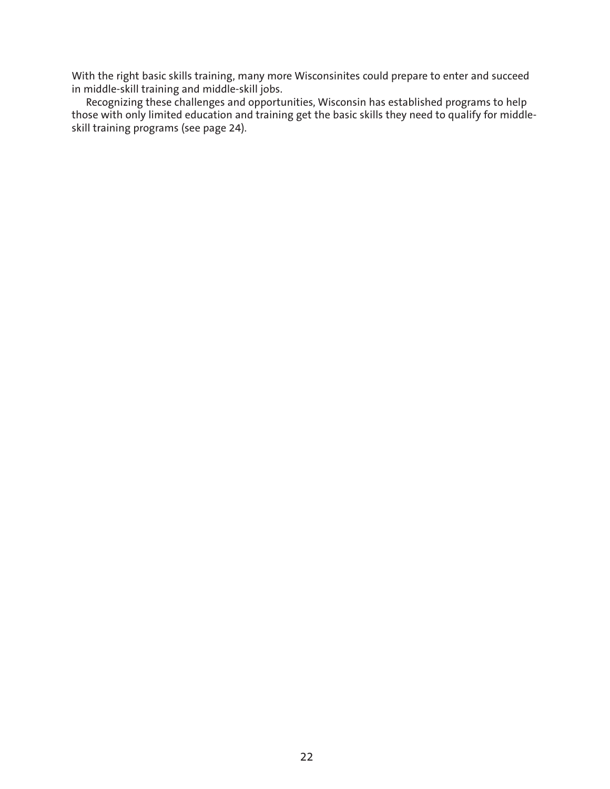With the right basic skills training, many more Wisconsinites could prepare to enter and succeed in middle-skill training and middle-skill jobs.

Recognizing these challenges and opportunities, Wisconsin has established programs to help those with only limited education and training get the basic skills they need to qualify for middleskill training programs (see page 24).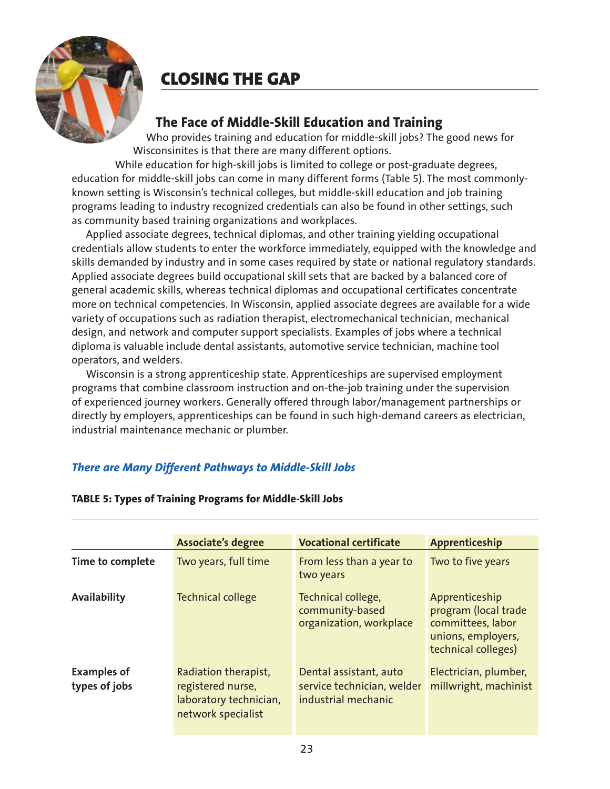

# **CLOSING THE GAP**

# **The Face of Middle-Skill Education and Training**

Who provides training and education for middle-skill jobs? The good news for Wisconsinites is that there are many different options.

While education for high-skill jobs is limited to college or post-graduate degrees, education for middle-skill jobs can come in many different forms (Table 5). The most commonlyknown setting is Wisconsin's technical colleges, but middle-skill education and job training programs leading to industry recognized credentials can also be found in other settings, such as community based training organizations and workplaces.

Applied associate degrees, technical diplomas, and other training yielding occupational credentials allow students to enter the workforce immediately, equipped with the knowledge and skills demanded by industry and in some cases required by state or national regulatory standards. Applied associate degrees build occupational skill sets that are backed by a balanced core of general academic skills, whereas technical diplomas and occupational certificates concentrate more on technical competencies. In Wisconsin, applied associate degrees are available for a wide variety of occupations such as radiation therapist, electromechanical technician, mechanical design, and network and computer support specialists. Examples of jobs where a technical diploma is valuable include dental assistants, automotive service technician, machine tool operators, and welders.

Wisconsin is a strong apprenticeship state. Apprenticeships are supervised employment programs that combine classroom instruction and on-the-job training under the supervision of experienced journey workers. Generally offered through labor/management partnerships or directly by employers, apprenticeships can be found in such high-demand careers as electrician, industrial maintenance mechanic or plumber.

## *There are Many Different Pathways to Middle-Skill Jobs*

|                                     | <b>Associate's degree</b>                                                                 | <b>Vocational certificate</b>                                               | Apprenticeship                                                                                           |
|-------------------------------------|-------------------------------------------------------------------------------------------|-----------------------------------------------------------------------------|----------------------------------------------------------------------------------------------------------|
| Time to complete                    | Two years, full time                                                                      | From less than a year to<br>two years                                       | Two to five years                                                                                        |
| <b>Availability</b>                 | <b>Technical college</b>                                                                  | Technical college,<br>community-based<br>organization, workplace            | Apprenticeship<br>program (local trade<br>committees, labor<br>unions, employers,<br>technical colleges) |
| <b>Examples of</b><br>types of jobs | Radiation therapist,<br>registered nurse,<br>laboratory technician,<br>network specialist | Dental assistant, auto<br>service technician, welder<br>industrial mechanic | Electrician, plumber,<br>millwright, machinist                                                           |

#### **TABLE 5: Types of Training Programs for Middle-Skill Jobs**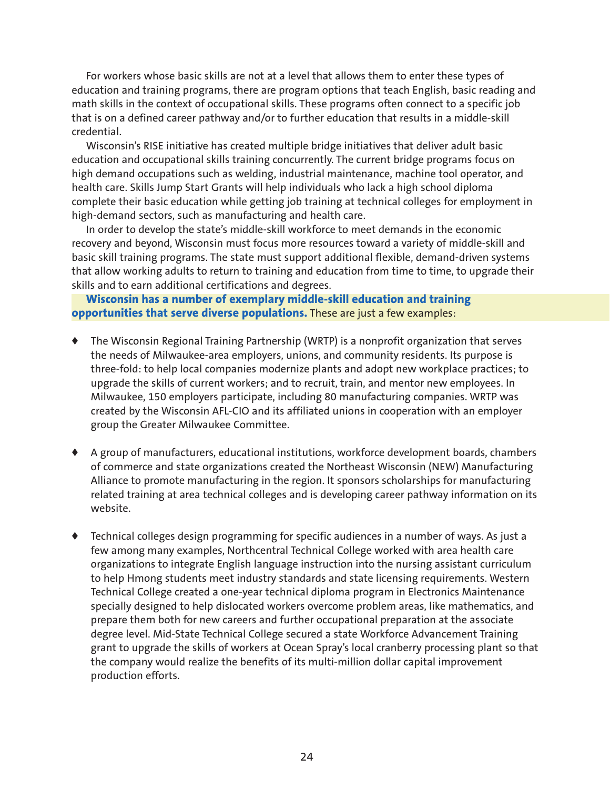For workers whose basic skills are not at a level that allows them to enter these types of education and training programs, there are program options that teach English, basic reading and math skills in the context of occupational skills. These programs often connect to a specific job that is on a defined career pathway and/or to further education that results in a middle-skill credential.

Wisconsin's RISE initiative has created multiple bridge initiatives that deliver adult basic education and occupational skills training concurrently. The current bridge programs focus on high demand occupations such as welding, industrial maintenance, machine tool operator, and health care. Skills Jump Start Grants will help individuals who lack a high school diploma complete their basic education while getting job training at technical colleges for employment in high-demand sectors, such as manufacturing and health care.

In order to develop the state's middle-skill workforce to meet demands in the economic recovery and beyond, Wisconsin must focus more resources toward a variety of middle-skill and basic skill training programs. The state must support additional flexible, demand-driven systems that allow working adults to return to training and education from time to time, to upgrade their skills and to earn additional certifications and degrees.

**Wisconsin has a number of exemplary middle-skill education and training opportunities that serve diverse populations.** These are just a few examples:

- **♦** The Wisconsin Regional Training Partnership (WRTP) is a nonprofit organization that serves the needs of Milwaukee-area employers, unions, and community residents. Its purpose is three-fold: to help local companies modernize plants and adopt new workplace practices; to upgrade the skills of current workers; and to recruit, train, and mentor new employees. In Milwaukee, 150 employers participate, including 80 manufacturing companies. WRTP was created by the Wisconsin AFL-CIO and its affiliated unions in cooperation with an employer group the Greater Milwaukee Committee.
- **♦** A group of manufacturers, educational institutions, workforce development boards, chambers of commerce and state organizations created the Northeast Wisconsin (NEW) Manufacturing Alliance to promote manufacturing in the region. It sponsors scholarships for manufacturing related training at area technical colleges and is developing career pathway information on its website.
- **♦** Technical colleges design programming for specific audiences in a number of ways. As just a few among many examples, Northcentral Technical College worked with area health care organizations to integrate English language instruction into the nursing assistant curriculum to help Hmong students meet industry standards and state licensing requirements. Western Technical College created a one-year technical diploma program in Electronics Maintenance specially designed to help dislocated workers overcome problem areas, like mathematics, and prepare them both for new careers and further occupational preparation at the associate degree level. Mid-State Technical College secured a state Workforce Advancement Training grant to upgrade the skills of workers at Ocean Spray's local cranberry processing plant so that the company would realize the benefits of its multi-million dollar capital improvement production efforts.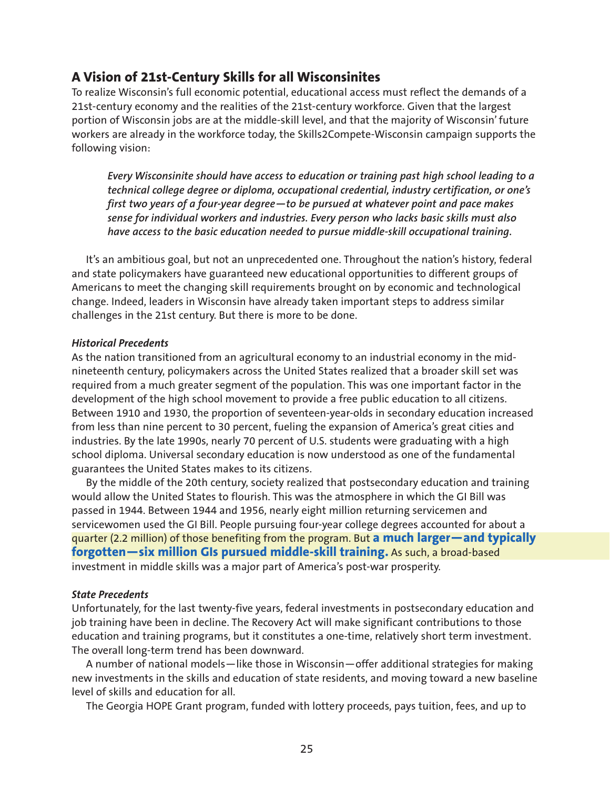## **A Vision of 21st-Century Skills for all Wisconsinites**

To realize Wisconsin's full economic potential, educational access must reflect the demands of a 21st-century economy and the realities of the 21st-century workforce. Given that the largest portion of Wisconsin jobs are at the middle-skill level, and that the majority of Wisconsin' future workers are already in the workforce today, the Skills2Compete-Wisconsin campaign supports the following vision:

*Every Wisconsinite should have access to education or training past high school leading to a technical college degree or diploma, occupational credential, industry certification, or one's first two years of a four-year degree—to be pursued at whatever point and pace makes sense for individual workers and industries. Every person who lacks basic skills must also have access to the basic education needed to pursue middle-skill occupational training.*

It's an ambitious goal, but not an unprecedented one. Throughout the nation's history, federal and state policymakers have guaranteed new educational opportunities to different groups of Americans to meet the changing skill requirements brought on by economic and technological change. Indeed, leaders in Wisconsin have already taken important steps to address similar challenges in the 21st century. But there is more to be done.

#### *Historical Precedents*

As the nation transitioned from an agricultural economy to an industrial economy in the midnineteenth century, policymakers across the United States realized that a broader skill set was required from a much greater segment of the population. This was one important factor in the development of the high school movement to provide a free public education to all citizens. Between 1910 and 1930, the proportion of seventeen-year-olds in secondary education increased from less than nine percent to 30 percent, fueling the expansion of America's great cities and industries. By the late 1990s, nearly 70 percent of U.S. students were graduating with a high school diploma. Universal secondary education is now understood as one of the fundamental guarantees the United States makes to its citizens.

By the middle of the 20th century, society realized that postsecondary education and training would allow the United States to flourish. This was the atmosphere in which the GI Bill was passed in 1944. Between 1944 and 1956, nearly eight million returning servicemen and servicewomen used the GI Bill. People pursuing four-year college degrees accounted for about a quarter (2.2 million) of those benefiting from the program. But **a much larger—and typically forgotten—six million GIs pursued middle-skill training.** As such, a broad-based investment in middle skills was a major part of America's post-war prosperity.

#### *State Precedents*

Unfortunately, for the last twenty-five years, federal investments in postsecondary education and job training have been in decline. The Recovery Act will make significant contributions to those education and training programs, but it constitutes a one-time, relatively short term investment. The overall long-term trend has been downward.

A number of national models—like those in Wisconsin—offer additional strategies for making new investments in the skills and education of state residents, and moving toward a new baseline level of skills and education for all.

The Georgia HOPE Grant program, funded with lottery proceeds, pays tuition, fees, and up to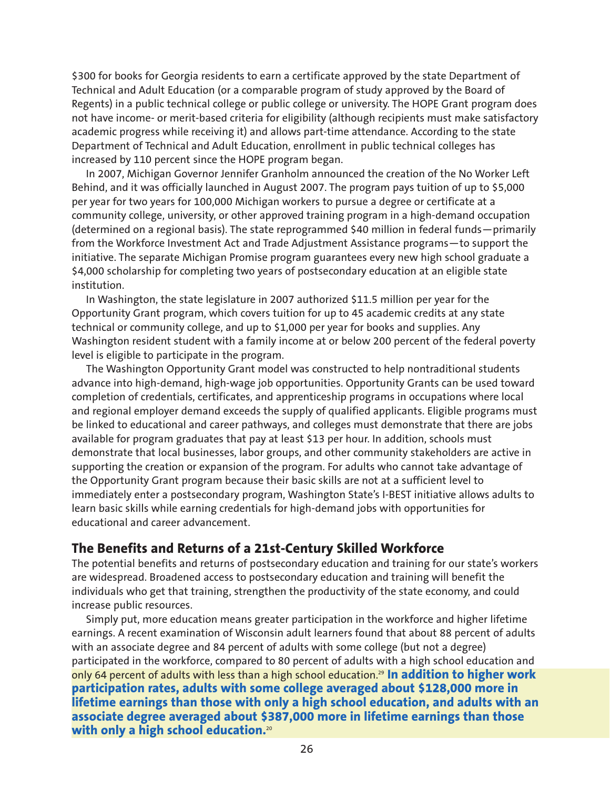\$300 for books for Georgia residents to earn a certificate approved by the state Department of Technical and Adult Education (or a comparable program of study approved by the Board of Regents) in a public technical college or public college or university. The HOPE Grant program does not have income- or merit-based criteria for eligibility (although recipients must make satisfactory academic progress while receiving it) and allows part-time attendance. According to the state Department of Technical and Adult Education, enrollment in public technical colleges has increased by 110 percent since the HOPE program began.

In 2007, Michigan Governor Jennifer Granholm announced the creation of the No Worker Left Behind, and it was officially launched in August 2007. The program pays tuition of up to \$5,000 per year for two years for 100,000 Michigan workers to pursue a degree or certificate at a community college, university, or other approved training program in a high-demand occupation (determined on a regional basis). The state reprogrammed \$40 million in federal funds—primarily from the Workforce Investment Act and Trade Adjustment Assistance programs—to support the initiative. The separate Michigan Promise program guarantees every new high school graduate a \$4,000 scholarship for completing two years of postsecondary education at an eligible state institution.

In Washington, the state legislature in 2007 authorized \$11.5 million per year for the Opportunity Grant program, which covers tuition for up to 45 academic credits at any state technical or community college, and up to \$1,000 per year for books and supplies. Any Washington resident student with a family income at or below 200 percent of the federal poverty level is eligible to participate in the program.

The Washington Opportunity Grant model was constructed to help nontraditional students advance into high-demand, high-wage job opportunities. Opportunity Grants can be used toward completion of credentials, certificates, and apprenticeship programs in occupations where local and regional employer demand exceeds the supply of qualified applicants. Eligible programs must be linked to educational and career pathways, and colleges must demonstrate that there are jobs available for program graduates that pay at least \$13 per hour. In addition, schools must demonstrate that local businesses, labor groups, and other community stakeholders are active in supporting the creation or expansion of the program. For adults who cannot take advantage of the Opportunity Grant program because their basic skills are not at a sufficient level to immediately enter a postsecondary program, Washington State's I-BEST initiative allows adults to learn basic skills while earning credentials for high-demand jobs with opportunities for educational and career advancement.

## **The Benefits and Returns of a 21st-Century Skilled Workforce**

The potential benefits and returns of postsecondary education and training for our state's workers are widespread. Broadened access to postsecondary education and training will benefit the individuals who get that training, strengthen the productivity of the state economy, and could increase public resources.

Simply put, more education means greater participation in the workforce and higher lifetime earnings. A recent examination of Wisconsin adult learners found that about 88 percent of adults with an associate degree and 84 percent of adults with some college (but not a degree) participated in the workforce, compared to 80 percent of adults with a high school education and only 64 percent of adults with less than a high school education.29 **In addition to higher work participation rates, adults with some college averaged about \$128,000 more in lifetime earnings than those with only a high school education, and adults with an associate degree averaged about \$387,000 more in lifetime earnings than those with only a high school education.**20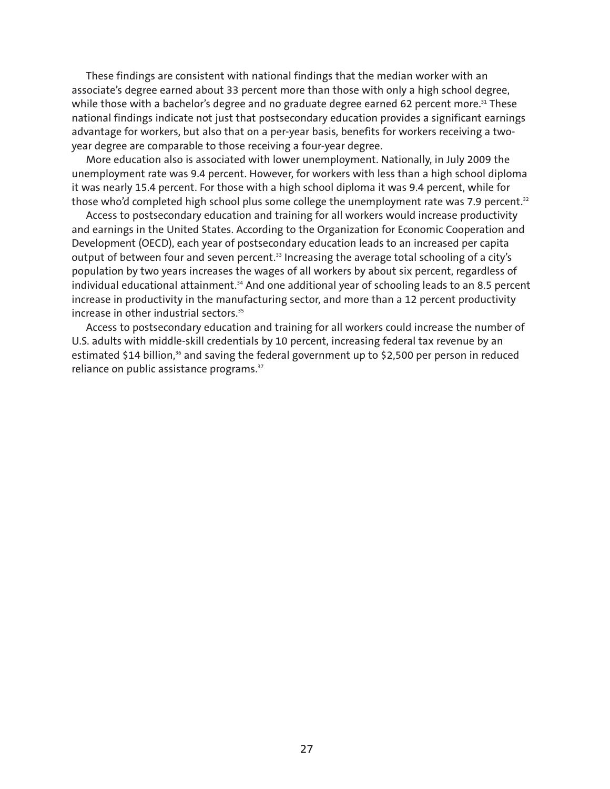These findings are consistent with national findings that the median worker with an associate's degree earned about 33 percent more than those with only a high school degree, while those with a bachelor's degree and no graduate degree earned 62 percent more.<sup>31</sup> These national findings indicate not just that postsecondary education provides a significant earnings advantage for workers, but also that on a per-year basis, benefits for workers receiving a twoyear degree are comparable to those receiving a four-year degree.

More education also is associated with lower unemployment. Nationally, in July 2009 the unemployment rate was 9.4 percent. However, for workers with less than a high school diploma it was nearly 15.4 percent. For those with a high school diploma it was 9.4 percent, while for those who'd completed high school plus some college the unemployment rate was 7.9 percent.<sup>32</sup>

Access to postsecondary education and training for all workers would increase productivity and earnings in the United States. According to the Organization for Economic Cooperation and Development (OECD), each year of postsecondary education leads to an increased per capita output of between four and seven percent.<sup>33</sup> Increasing the average total schooling of a city's population by two years increases the wages of all workers by about six percent, regardless of individual educational attainment.<sup>34</sup> And one additional year of schooling leads to an 8.5 percent increase in productivity in the manufacturing sector, and more than a 12 percent productivity increase in other industrial sectors.<sup>35</sup>

Access to postsecondary education and training for all workers could increase the number of U.S. adults with middle-skill credentials by 10 percent, increasing federal tax revenue by an estimated \$14 billion,<sup>36</sup> and saving the federal government up to \$2,500 per person in reduced reliance on public assistance programs.<sup>37</sup>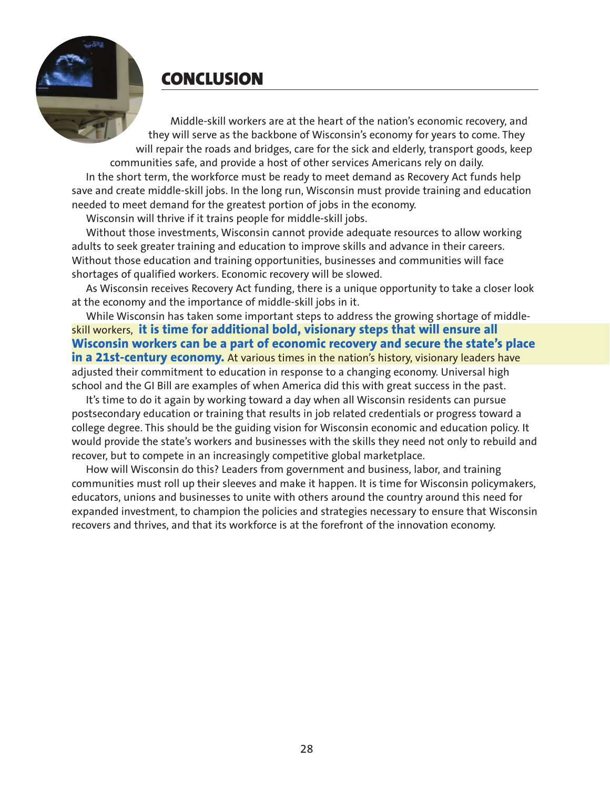**CONCLUSION**

Middle-skill workers are at the heart of the nation's economic recovery, and they will serve as the backbone of Wisconsin's economy for years to come. They will repair the roads and bridges, care for the sick and elderly, transport goods, keep communities safe, and provide a host of other services Americans rely on daily. In the short term, the workforce must be ready to meet demand as Recovery Act funds help save and create middle-skill jobs. In the long run, Wisconsin must provide training and education needed to meet demand for the greatest portion of jobs in the economy.

Wisconsin will thrive if it trains people for middle-skill jobs.

Without those investments, Wisconsin cannot provide adequate resources to allow working adults to seek greater training and education to improve skills and advance in their careers. Without those education and training opportunities, businesses and communities will face shortages of qualified workers. Economic recovery will be slowed.

As Wisconsin receives Recovery Act funding, there is a unique opportunity to take a closer look at the economy and the importance of middle-skill jobs in it.

While Wisconsin has taken some important steps to address the growing shortage of middleskill workers, **it is time for additional bold, visionary steps that will ensure all Wisconsin workers can be a part of economic recovery and secure the state's place** in a 21st-century economy. At various times in the nation's history, visionary leaders have adjusted their commitment to education in response to a changing economy. Universal high school and the GI Bill are examples of when America did this with great success in the past.

It's time to do it again by working toward a day when all Wisconsin residents can pursue postsecondary education or training that results in job related credentials or progress toward a college degree. This should be the guiding vision for Wisconsin economic and education policy. It would provide the state's workers and businesses with the skills they need not only to rebuild and recover, but to compete in an increasingly competitive global marketplace.

How will Wisconsin do this? Leaders from government and business, labor, and training communities must roll up their sleeves and make it happen. It is time for Wisconsin policymakers, educators, unions and businesses to unite with others around the country around this need for expanded investment, to champion the policies and strategies necessary to ensure that Wisconsin recovers and thrives, and that its workforce is at the forefront of the innovation economy.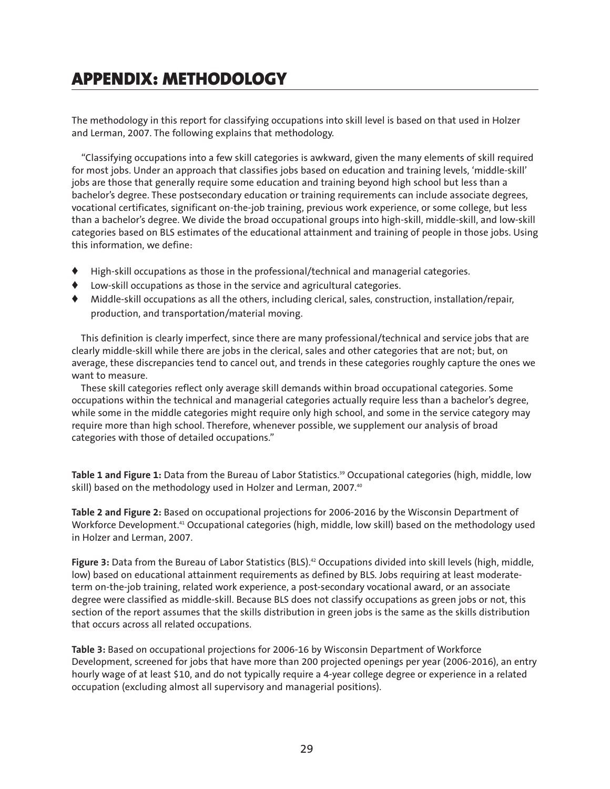# **APPENDIX: METHODOLOGY**

The methodology in this report for classifying occupations into skill level is based on that used in Holzer and Lerman, 2007. The following explains that methodology.

"Classifying occupations into a few skill categories is awkward, given the many elements of skill required for most jobs. Under an approach that classifies jobs based on education and training levels, 'middle-skill' jobs are those that generally require some education and training beyond high school but less than a bachelor's degree. These postsecondary education or training requirements can include associate degrees, vocational certificates, significant on-the-job training, previous work experience, or some college, but less than a bachelor's degree. We divide the broad occupational groups into high-skill, middle-skill, and low-skill categories based on BLS estimates of the educational attainment and training of people in those jobs. Using this information, we define:

- **♦** High-skill occupations as those in the professional/technical and managerial categories.
- **♦** Low-skill occupations as those in the service and agricultural categories.
- **♦** Middle-skill occupations as all the others, including clerical, sales, construction, installation/repair, production, and transportation/material moving.

This definition is clearly imperfect, since there are many professional/technical and service jobs that are clearly middle-skill while there are jobs in the clerical, sales and other categories that are not; but, on average, these discrepancies tend to cancel out, and trends in these categories roughly capture the ones we want to measure.

These skill categories reflect only average skill demands within broad occupational categories. Some occupations within the technical and managerial categories actually require less than a bachelor's degree, while some in the middle categories might require only high school, and some in the service category may require more than high school. Therefore, whenever possible, we supplement our analysis of broad categories with those of detailed occupations."

Table 1 and Figure 1: Data from the Bureau of Labor Statistics.<sup>39</sup> Occupational categories (high, middle, low skill) based on the methodology used in Holzer and Lerman, 2007.<sup>40</sup>

**Table 2 and Figure 2:** Based on occupational projections for 2006-2016 by the Wisconsin Department of Workforce Development.<sup>41</sup> Occupational categories (high, middle, low skill) based on the methodology used in Holzer and Lerman, 2007.

Figure 3: Data from the Bureau of Labor Statistics (BLS).<sup>42</sup> Occupations divided into skill levels (high, middle, low) based on educational attainment requirements as defined by BLS. Jobs requiring at least moderateterm on-the-job training, related work experience, a post-secondary vocational award, or an associate degree were classified as middle-skill. Because BLS does not classify occupations as green jobs or not, this section of the report assumes that the skills distribution in green jobs is the same as the skills distribution that occurs across all related occupations.

**Table 3:** Based on occupational projections for 2006-16 by Wisconsin Department of Workforce Development, screened for jobs that have more than 200 projected openings per year (2006-2016), an entry hourly wage of at least \$10, and do not typically require a 4-year college degree or experience in a related occupation (excluding almost all supervisory and managerial positions).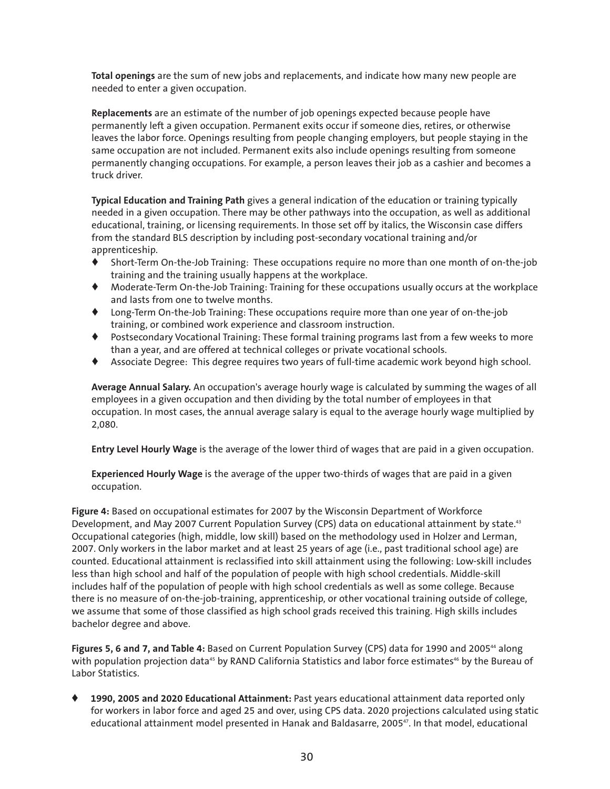**Total openings** are the sum of new jobs and replacements, and indicate how many new people are needed to enter a given occupation.

**Replacements** are an estimate of the number of job openings expected because people have permanently left a given occupation. Permanent exits occur if someone dies, retires, or otherwise leaves the labor force. Openings resulting from people changing employers, but people staying in the same occupation are not included. Permanent exits also include openings resulting from someone permanently changing occupations. For example, a person leaves their job as a cashier and becomes a truck driver.

**Typical Education and Training Path** gives a general indication of the education or training typically needed in a given occupation. There may be other pathways into the occupation, as well as additional educational, training, or licensing requirements. In those set off by italics, the Wisconsin case differs from the standard BLS description by including post-secondary vocational training and/or apprenticeship.

- **♦** Short-Term On-the-Job Training: These occupations require no more than one month of on-the-job training and the training usually happens at the workplace.
- **♦** Moderate-Term On-the-Job Training: Training for these occupations usually occurs at the workplace and lasts from one to twelve months.
- **♦** Long-Term On-the-Job Training: These occupations require more than one year of on-the-job training, or combined work experience and classroom instruction.
- **♦** Postsecondary Vocational Training: These formal training programs last from a few weeks to more than a year, and are offered at technical colleges or private vocational schools.
- **♦** Associate Degree: This degree requires two years of full-time academic work beyond high school.

**Average Annual Salary.** An occupation's average hourly wage is calculated by summing the wages of all employees in a given occupation and then dividing by the total number of employees in that occupation. In most cases, the annual average salary is equal to the average hourly wage multiplied by 2,080.

**Entry Level Hourly Wage** is the average of the lower third of wages that are paid in a given occupation.

**Experienced Hourly Wage** is the average of the upper two-thirds of wages that are paid in a given occupation.

**Figure 4:** Based on occupational estimates for 2007 by the Wisconsin Department of Workforce Development, and May 2007 Current Population Survey (CPS) data on educational attainment by state.<sup>43</sup> Occupational categories (high, middle, low skill) based on the methodology used in Holzer and Lerman, 2007. Only workers in the labor market and at least 25 years of age (i.e., past traditional school age) are counted. Educational attainment is reclassified into skill attainment using the following: Low-skill includes less than high school and half of the population of people with high school credentials. Middle-skill includes half of the population of people with high school credentials as well as some college. Because there is no measure of on-the-job-training, apprenticeship, or other vocational training outside of college, we assume that some of those classified as high school grads received this training. High skills includes bachelor degree and above.

Figures 5, 6 and 7, and Table 4: Based on Current Population Survey (CPS) data for 1990 and 2005<sup>44</sup> along with population projection data<sup>45</sup> by RAND California Statistics and labor force estimates<sup>46</sup> by the Bureau of Labor Statistics.

**♦ 1990, 2005 and 2020 Educational Attainment:** Past years educational attainment data reported only for workers in labor force and aged 25 and over, using CPS data. 2020 projections calculated using static educational attainment model presented in Hanak and Baldasarre, 2005<sup>47</sup>. In that model, educational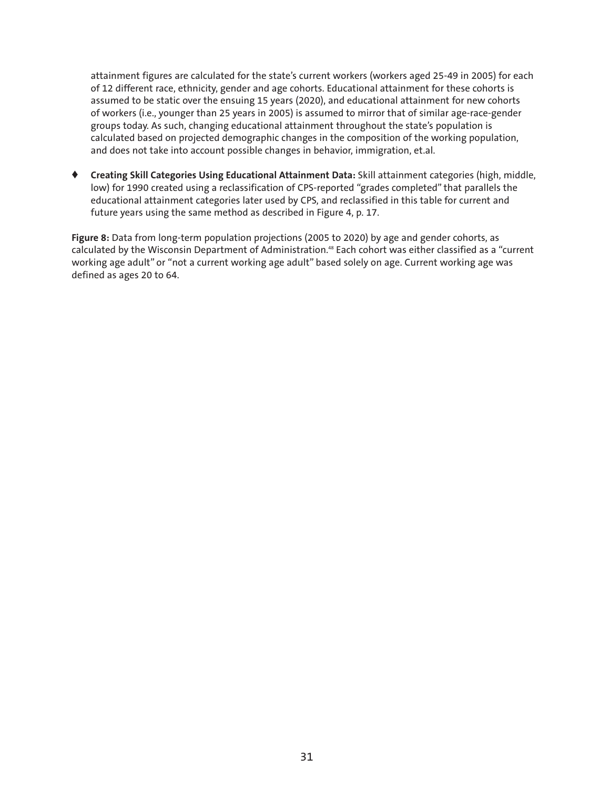attainment figures are calculated for the state's current workers (workers aged 25-49 in 2005) for each of 12 different race, ethnicity, gender and age cohorts. Educational attainment for these cohorts is assumed to be static over the ensuing 15 years (2020), and educational attainment for new cohorts of workers (i.e., younger than 25 years in 2005) is assumed to mirror that of similar age-race-gender groups today. As such, changing educational attainment throughout the state's population is calculated based on projected demographic changes in the composition of the working population, and does not take into account possible changes in behavior, immigration, et.al.

**♦ Creating Skill Categories Using Educational Attainment Data:** Skill attainment categories (high, middle, low) for 1990 created using a reclassification of CPS-reported "grades completed" that parallels the educational attainment categories later used by CPS, and reclassified in this table for current and future years using the same method as described in Figure 4, p. 17.

**Figure 8:** Data from long-term population projections (2005 to 2020) by age and gender cohorts, as calculated by the Wisconsin Department of Administration.<sup>48</sup> Each cohort was either classified as a "current working age adult" or "not a current working age adult" based solely on age. Current working age was defined as ages 20 to 64.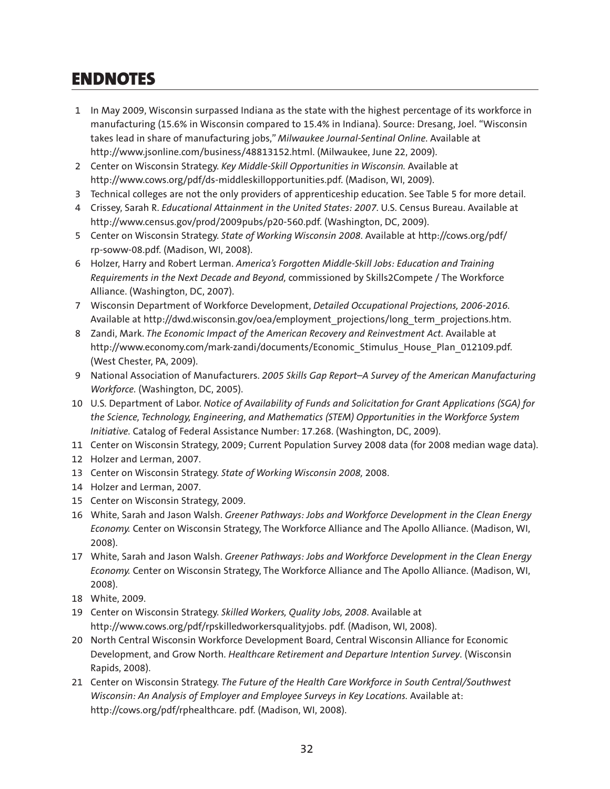# **ENDNOTES**

- 1 In May 2009, Wisconsin surpassed Indiana as the state with the highest percentage of its workforce in manufacturing (15.6% in Wisconsin compared to 15.4% in Indiana). Source: Dresang, Joel. "Wisconsin takes lead in share of manufacturing jobs," *Milwaukee Journal-Sentinal Online*. Available at http://www.jsonline.com/business/48813152.html. (Milwaukee, June 22, 2009).
- 2 Center on Wisconsin Strategy. *Key Middle-Skill Opportunities in Wisconsin.* Available at http://www.cows.org/pdf/ds-middleskillopportunities.pdf. (Madison, WI, 2009).
- 3 Technical colleges are not the only providers of apprenticeship education. See Table 5 for more detail.
- 4 Crissey, Sarah R. *Educational Attainment in the United States: 2007*. U.S. Census Bureau. Available at http://www.census.gov/prod/2009pubs/p20-560.pdf. (Washington, DC, 2009).
- 5 Center on Wisconsin Strategy. *State of Working Wisconsin 2008*. Available at http://cows.org/pdf/ rp-soww-08.pdf. (Madison, WI, 2008).
- 6 Holzer, Harry and Robert Lerman. *America's Forgotten Middle-Skill Jobs: Education and Training Requirements in the Next Decade and Beyond,* commissioned by Skills2Compete / The Workforce Alliance. (Washington, DC, 2007).
- 7 Wisconsin Department of Workforce Development, *Detailed Occupational Projections, 2006-2016.* Available at http://dwd.wisconsin.gov/oea/employment\_projections/long\_term\_projections.htm.
- 8 Zandi, Mark. *The Economic Impact of the American Recovery and Reinvestment Act.* Available at http://www.economy.com/mark-zandi/documents/Economic\_Stimulus\_House\_Plan\_012109.pdf. (West Chester, PA, 2009).
- 9 National Association of Manufacturers. *2005 Skills Gap Report–A Survey of the American Manufacturing Workforce.* (Washington, DC, 2005).
- 10 U.S. Department of Labor. *Notice of Availability of Funds and Solicitation for Grant Applications (SGA) for the Science, Technology, Engineering, and Mathematics (STEM) Opportunities in the Workforce System Initiative.* Catalog of Federal Assistance Number: 17.268. (Washington, DC, 2009).
- 11 Center on Wisconsin Strategy, 2009; Current Population Survey 2008 data (for 2008 median wage data).
- 12 Holzer and Lerman, 2007.
- 13 Center on Wisconsin Strategy. *State of Working Wisconsin 2008,* 2008.
- 14 Holzer and Lerman, 2007.
- 15 Center on Wisconsin Strategy, 2009.
- 16 White, Sarah and Jason Walsh. *Greener Pathways: Jobs and Workforce Development in the Clean Energy Economy.* Center on Wisconsin Strategy, The Workforce Alliance and The Apollo Alliance. (Madison, WI, 2008).
- 17 White, Sarah and Jason Walsh. *Greener Pathways: Jobs and Workforce Development in the Clean Energy Economy.* Center on Wisconsin Strategy, The Workforce Alliance and The Apollo Alliance. (Madison, WI, 2008).
- 18 White, 2009.
- 19 Center on Wisconsin Strategy. *Skilled Workers, Quality Jobs, 2008*. Available at http://www.cows.org/pdf/rpskilledworkersqualityjobs. pdf. (Madison, WI, 2008).
- 20 North Central Wisconsin Workforce Development Board, Central Wisconsin Alliance for Economic Development, and Grow North. *Healthcare Retirement and Departure Intention Survey*. (Wisconsin Rapids, 2008).
- 21 Center on Wisconsin Strategy. *The Future of the Health Care Workforce in South Central/Southwest Wisconsin: An Analysis of Employer and Employee Surveys in Key Locations.* Available at: http://cows.org/pdf/rphealthcare. pdf. (Madison, WI, 2008).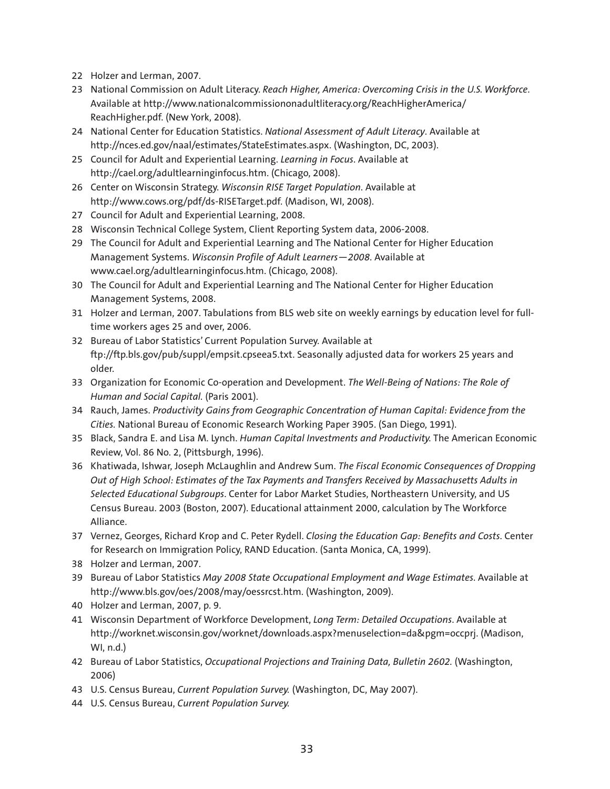- 22 Holzer and Lerman, 2007.
- 23 National Commission on Adult Literacy. *Reach Higher, America: Overcoming Crisis in the U.S. Workforce*. Available at http://www.nationalcommissiononadultliteracy.org/ReachHigherAmerica/ ReachHigher.pdf. (New York, 2008).
- 24 National Center for Education Statistics. *National Assessment of Adult Literacy*. Available at http://nces.ed.gov/naal/estimates/StateEstimates.aspx. (Washington, DC, 2003).
- 25 Council for Adult and Experiential Learning. *Learning in Focus*. Available at http://cael.org/adultlearninginfocus.htm. (Chicago, 2008).
- 26 Center on Wisconsin Strategy. *Wisconsin RISE Target Population*. Available at http://www.cows.org/pdf/ds-RISETarget.pdf. (Madison, WI, 2008).
- 27 Council for Adult and Experiential Learning, 2008.
- 28 Wisconsin Technical College System, Client Reporting System data, 2006-2008.
- 29 The Council for Adult and Experiential Learning and The National Center for Higher Education Management Systems. *Wisconsin Profile of Adult Learners—2008*. Available at www.cael.org/adultlearninginfocus.htm. (Chicago, 2008).
- 30 The Council for Adult and Experiential Learning and The National Center for Higher Education Management Systems, 2008.
- 31 Holzer and Lerman, 2007. Tabulations from BLS web site on weekly earnings by education level for fulltime workers ages 25 and over, 2006.
- 32 Bureau of Labor Statistics' Current Population Survey. Available at ftp://ftp.bls.gov/pub/suppl/empsit.cpseea5.txt. Seasonally adjusted data for workers 25 years and older.
- 33 Organization for Economic Co-operation and Development. *The Well-Being of Nations: The Role of Human and Social Capital.* (Paris 2001).
- 34 Rauch, James. *Productivity Gains from Geographic Concentration of Human Capital: Evidence from the Cities.* National Bureau of Economic Research Working Paper 3905. (San Diego, 1991).
- 35 Black, Sandra E. and Lisa M. Lynch. *Human Capital Investments and Productivity.* The American Economic Review, Vol. 86 No. 2, (Pittsburgh, 1996).
- 36 Khatiwada, Ishwar, Joseph McLaughlin and Andrew Sum. *The Fiscal Economic Consequences of Dropping Out of High School: Estimates of the Tax Payments and Transfers Received by Massachusetts Adults in Selected Educational Subgroups*. Center for Labor Market Studies, Northeastern University, and US Census Bureau. 2003 (Boston, 2007). Educational attainment 2000, calculation by The Workforce Alliance.
- 37 Vernez, Georges, Richard Krop and C. Peter Rydell. *Closing the Education Gap: Benefits and Costs*. Center for Research on Immigration Policy, RAND Education. (Santa Monica, CA, 1999).
- 38 Holzer and Lerman, 2007.
- 39 Bureau of Labor Statistics *May 2008 State Occupational Employment and Wage Estimates*. Available at http://www.bls.gov/oes/2008/may/oessrcst.htm. (Washington, 2009).
- 40 Holzer and Lerman, 2007, p. 9.
- 41 Wisconsin Department of Workforce Development, *Long Term: Detailed Occupations*. Available at http://worknet.wisconsin.gov/worknet/downloads.aspx?menuselection=da&pgm=occprj. (Madison, WI, n.d.)
- 42 Bureau of Labor Statistics, *Occupational Projections and Training Data, Bulletin 2602.* (Washington, 2006)
- 43 U.S. Census Bureau, *Current Population Survey.* (Washington, DC, May 2007).
- 44 U.S. Census Bureau, *Current Population Survey.*